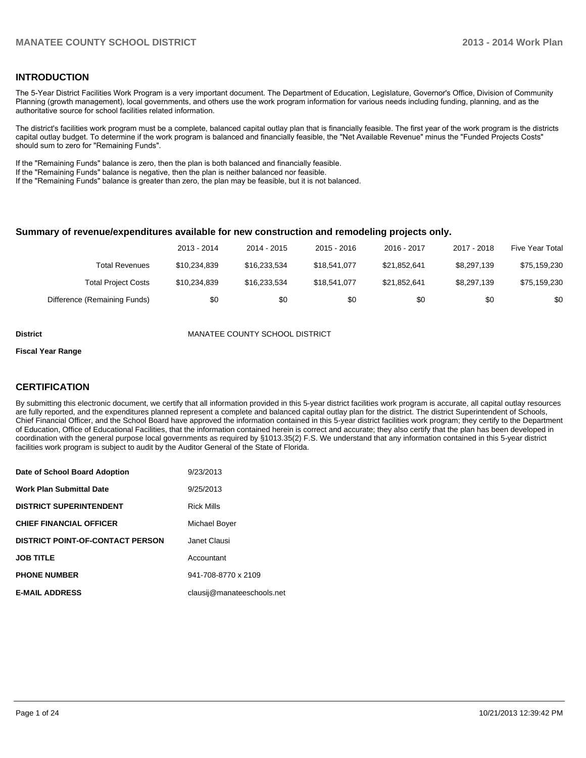#### **INTRODUCTION**

The 5-Year District Facilities Work Program is a very important document. The Department of Education, Legislature, Governor's Office, Division of Community Planning (growth management), local governments, and others use the work program information for various needs including funding, planning, and as the authoritative source for school facilities related information.

The district's facilities work program must be a complete, balanced capital outlay plan that is financially feasible. The first year of the work program is the districts capital outlay budget. To determine if the work program is balanced and financially feasible, the "Net Available Revenue" minus the "Funded Projects Costs" should sum to zero for "Remaining Funds".

If the "Remaining Funds" balance is zero, then the plan is both balanced and financially feasible.

If the "Remaining Funds" balance is negative, then the plan is neither balanced nor feasible.

If the "Remaining Funds" balance is greater than zero, the plan may be feasible, but it is not balanced.

#### **Summary of revenue/expenditures available for new construction and remodeling projects only.**

|                              | 2013 - 2014  | 2014 - 2015  | 2015 - 2016  | 2016 - 2017  | 2017 - 2018 | <b>Five Year Total</b> |
|------------------------------|--------------|--------------|--------------|--------------|-------------|------------------------|
| Total Revenues               | \$10.234.839 | \$16.233.534 | \$18,541,077 | \$21.852.641 | \$8,297,139 | \$75,159,230           |
| <b>Total Project Costs</b>   | \$10,234,839 | \$16.233.534 | \$18,541,077 | \$21,852,641 | \$8,297,139 | \$75,159,230           |
| Difference (Remaining Funds) | \$0          | \$0          | \$0          | \$0          | \$0         | \$0                    |

**District** MANATEE COUNTY SCHOOL DISTRICT

#### **Fiscal Year Range**

#### **CERTIFICATION**

By submitting this electronic document, we certify that all information provided in this 5-year district facilities work program is accurate, all capital outlay resources are fully reported, and the expenditures planned represent a complete and balanced capital outlay plan for the district. The district Superintendent of Schools, Chief Financial Officer, and the School Board have approved the information contained in this 5-year district facilities work program; they certify to the Department of Education, Office of Educational Facilities, that the information contained herein is correct and accurate; they also certify that the plan has been developed in coordination with the general purpose local governments as required by §1013.35(2) F.S. We understand that any information contained in this 5-year district facilities work program is subject to audit by the Auditor General of the State of Florida.

| Date of School Board Adoption           | 9/23/2013                  |
|-----------------------------------------|----------------------------|
| <b>Work Plan Submittal Date</b>         | 9/25/2013                  |
| <b>DISTRICT SUPERINTENDENT</b>          | <b>Rick Mills</b>          |
| <b>CHIEF FINANCIAL OFFICER</b>          | Michael Boyer              |
| <b>DISTRICT POINT-OF-CONTACT PERSON</b> | Janet Clausi               |
| <b>JOB TITLE</b>                        | Accountant                 |
| <b>PHONE NUMBER</b>                     | 941-708-8770 x 2109        |
| <b>E-MAIL ADDRESS</b>                   | clausij@manateeschools.net |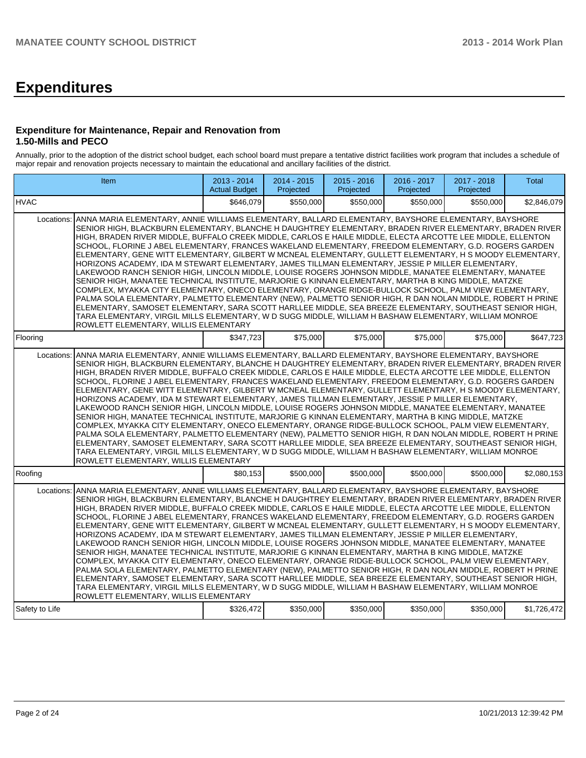# **Expenditures**

#### **Expenditure for Maintenance, Repair and Renovation from 1.50-Mills and PECO**

Annually, prior to the adoption of the district school budget, each school board must prepare a tentative district facilities work program that includes a schedule of major repair and renovation projects necessary to maintain the educational and ancillary facilities of the district.

|                | Item                                                                                                                                                                                                                                                                                                                                                                                                                                                                                                                                                                                                                                                                                                                                                                                                                                                                                                                                                                                                                                                                                                                                                                                                                                                                                                                                                                        | 2013 - 2014<br><b>Actual Budget</b> | $2014 - 2015$<br>Projected | $2015 - 2016$<br>Projected | $2016 - 2017$<br>Projected | 2017 - 2018<br>Projected | <b>Total</b> |  |  |  |  |
|----------------|-----------------------------------------------------------------------------------------------------------------------------------------------------------------------------------------------------------------------------------------------------------------------------------------------------------------------------------------------------------------------------------------------------------------------------------------------------------------------------------------------------------------------------------------------------------------------------------------------------------------------------------------------------------------------------------------------------------------------------------------------------------------------------------------------------------------------------------------------------------------------------------------------------------------------------------------------------------------------------------------------------------------------------------------------------------------------------------------------------------------------------------------------------------------------------------------------------------------------------------------------------------------------------------------------------------------------------------------------------------------------------|-------------------------------------|----------------------------|----------------------------|----------------------------|--------------------------|--------------|--|--|--|--|
| <b>IHVAC</b>   |                                                                                                                                                                                                                                                                                                                                                                                                                                                                                                                                                                                                                                                                                                                                                                                                                                                                                                                                                                                                                                                                                                                                                                                                                                                                                                                                                                             | \$646.079                           | \$550,000                  | \$550,000                  | \$550.000                  | \$550,000                | \$2,846,079  |  |  |  |  |
| Locations:     | ANNA MARIA ELEMENTARY, ANNIE WILLIAMS ELEMENTARY, BALLARD ELEMENTARY, BAYSHORE ELEMENTARY, BAYSHORE<br>SENIOR HIGH, BLACKBURN ELEMENTARY, BLANCHE H DAUGHTREY ELEMENTARY, BRADEN RIVER ELEMENTARY, BRADEN RIVER<br>HIGH, BRADEN RIVER MIDDLE, BUFFALO CREEK MIDDLE, CARLOS E HAILE MIDDLE, ELECTA ARCOTTE LEE MIDDLE, ELLENTON<br>SCHOOL, FLORINE J ABEL ELEMENTARY, FRANCES WAKELAND ELEMENTARY, FREEDOM ELEMENTARY, G.D. ROGERS GARDEN<br>ELEMENTARY, GENE WITT ELEMENTARY, GILBERT W MCNEAL ELEMENTARY, GULLETT ELEMENTARY, H S MOODY ELEMENTARY,<br>HORIZONS ACADEMY, IDA M STEWART ELEMENTARY, JAMES TILLMAN ELEMENTARY, JESSIE P MILLER ELEMENTARY,<br>LAKEWOOD RANCH SENIOR HIGH, LINCOLN MIDDLE, LOUISE ROGERS JOHNSON MIDDLE, MANATEE ELEMENTARY, MANATEE<br>SENIOR HIGH, MANATEE TECHNICAL INSTITUTE, MARJORIE G KINNAN ELEMENTARY, MARTHA B KING MIDDLE, MATZKE<br>COMPLEX, MYAKKA CITY ELEMENTARY, ONECO ELEMENTARY, ORANGE RIDGE-BULLOCK SCHOOL, PALM VIEW ELEMENTARY,<br>PALMA SOLA ELEMENTARY, PALMETTO ELEMENTARY (NEW), PALMETTO SENIOR HIGH, R DAN NOLAN MIDDLE, ROBERT H PRINE<br>ELEMENTARY, SAMOSET ELEMENTARY, SARA SCOTT HARLLEE MIDDLE, SEA BREEZE ELEMENTARY, SOUTHEAST SENIOR HIGH,<br>TARA ELEMENTARY, VIRGIL MILLS ELEMENTARY, W D SUGG MIDDLE, WILLIAM H BASHAW ELEMENTARY, WILLIAM MONROE<br>ROWLETT ELEMENTARY, WILLIS ELEMENTARY            |                                     |                            |                            |                            |                          |              |  |  |  |  |
| Flooring       |                                                                                                                                                                                                                                                                                                                                                                                                                                                                                                                                                                                                                                                                                                                                                                                                                                                                                                                                                                                                                                                                                                                                                                                                                                                                                                                                                                             | \$347,723                           | \$75,000                   | \$75,000                   | \$75,000                   | \$75,000                 | \$647,723    |  |  |  |  |
|                | Locations: ANNA MARIA ELEMENTARY, ANNIE WILLIAMS ELEMENTARY, BALLARD ELEMENTARY, BAYSHORE ELEMENTARY, BAYSHORE<br>SENIOR HIGH, BLACKBURN ELEMENTARY, BLANCHE H DAUGHTREY ELEMENTARY, BRADEN RIVER ELEMENTARY, BRADEN RIVER<br>HIGH, BRADEN RIVER MIDDLE, BUFFALO CREEK MIDDLE, CARLOS E HAILE MIDDLE, ELECTA ARCOTTE LEE MIDDLE, ELLENTON<br>SCHOOL, FLORINE J ABEL ELEMENTARY, FRANCES WAKELAND ELEMENTARY, FREEDOM ELEMENTARY, G.D. ROGERS GARDEN<br>ELEMENTARY, GENE WITT ELEMENTARY, GILBERT W MCNEAL ELEMENTARY, GULLETT ELEMENTARY, H S MOODY ELEMENTARY,<br>HORIZONS ACADEMY, IDA M STEWART ELEMENTARY, JAMES TILLMAN ELEMENTARY, JESSIE P MILLER ELEMENTARY,<br>LAKEWOOD RANCH SENIOR HIGH, LINCOLN MIDDLE, LOUISE ROGERS JOHNSON MIDDLE, MANATEE ELEMENTARY, MANATEE<br>SENIOR HIGH, MANATEE TECHNICAL INSTITUTE, MARJORIE G KINNAN ELEMENTARY, MARTHA B KING MIDDLE, MATZKE<br>COMPLEX, MYAKKA CITY ELEMENTARY, ONECO ELEMENTARY, ORANGE RIDGE-BULLOCK SCHOOL, PALM VIEW ELEMENTARY,<br>PALMA SOLA ELEMENTARY, PALMETTO ELEMENTARY (NEW), PALMETTO SENIOR HIGH, R DAN NOLAN MIDDLE, ROBERT H PRINE<br>ELEMENTARY, SAMOSET ELEMENTARY, SARA SCOTT HARLLEE MIDDLE, SEA BREEZE ELEMENTARY, SOUTHEAST SENIOR HIGH,<br>TARA ELEMENTARY, VIRGIL MILLS ELEMENTARY, W D SUGG MIDDLE, WILLIAM H BASHAW ELEMENTARY, WILLIAM MONROE<br>ROWLETT ELEMENTARY, WILLIS ELEMENTARY |                                     |                            |                            |                            |                          |              |  |  |  |  |
| Roofing        |                                                                                                                                                                                                                                                                                                                                                                                                                                                                                                                                                                                                                                                                                                                                                                                                                                                                                                                                                                                                                                                                                                                                                                                                                                                                                                                                                                             | \$80,153                            | \$500,000                  | \$500,000                  | \$500,000                  | \$500,000                | \$2,080,153  |  |  |  |  |
| Locations:     | ANNA MARIA ELEMENTARY, ANNIE WILLIAMS ELEMENTARY, BALLARD ELEMENTARY, BAYSHORE ELEMENTARY, BAYSHORE<br>SENIOR HIGH, BLACKBURN ELEMENTARY, BLANCHE H DAUGHTREY ELEMENTARY, BRADEN RIVER ELEMENTARY, BRADEN RIVER<br>HIGH, BRADEN RIVER MIDDLE, BUFFALO CREEK MIDDLE, CARLOS E HAILE MIDDLE, ELECTA ARCOTTE LEE MIDDLE, ELLENTON<br>SCHOOL, FLORINE J ABEL ELEMENTARY, FRANCES WAKELAND ELEMENTARY, FREEDOM ELEMENTARY, G.D. ROGERS GARDEN<br>ELEMENTARY, GENE WITT ELEMENTARY, GILBERT W MCNEAL ELEMENTARY, GULLETT ELEMENTARY, H S MOODY ELEMENTARY,<br>HORIZONS ACADEMY, IDA M STEWART ELEMENTARY, JAMES TILLMAN ELEMENTARY, JESSIE P MILLER ELEMENTARY,<br>LAKEWOOD RANCH SENIOR HIGH, LINCOLN MIDDLE, LOUISE ROGERS JOHNSON MIDDLE, MANATEE ELEMENTARY, MANATEE<br>SENIOR HIGH, MANATEE TECHNICAL INSTITUTE, MARJORIE G KINNAN ELEMENTARY, MARTHA B KING MIDDLE, MATZKE<br>COMPLEX, MYAKKA CITY ELEMENTARY, ONECO ELEMENTARY, ORANGE RIDGE-BULLOCK SCHOOL, PALM VIEW ELEMENTARY,<br>PALMA SOLA ELEMENTARY, PALMETTO ELEMENTARY (NEW), PALMETTO SENIOR HIGH, R DAN NOLAN MIDDLE, ROBERT H PRINE<br>ELEMENTARY, SAMOSET ELEMENTARY, SARA SCOTT HARLLEE MIDDLE, SEA BREEZE ELEMENTARY, SOUTHEAST SENIOR HIGH,<br>TARA ELEMENTARY, VIRGIL MILLS ELEMENTARY, W D SUGG MIDDLE, WILLIAM H BASHAW ELEMENTARY, WILLIAM MONROE<br>ROWLETT ELEMENTARY, WILLIS ELEMENTARY            |                                     |                            |                            |                            |                          |              |  |  |  |  |
| Safety to Life |                                                                                                                                                                                                                                                                                                                                                                                                                                                                                                                                                                                                                                                                                                                                                                                                                                                                                                                                                                                                                                                                                                                                                                                                                                                                                                                                                                             | \$326,472                           | \$350,000                  | \$350,000                  | \$350,000                  | \$350,000                | \$1,726,472  |  |  |  |  |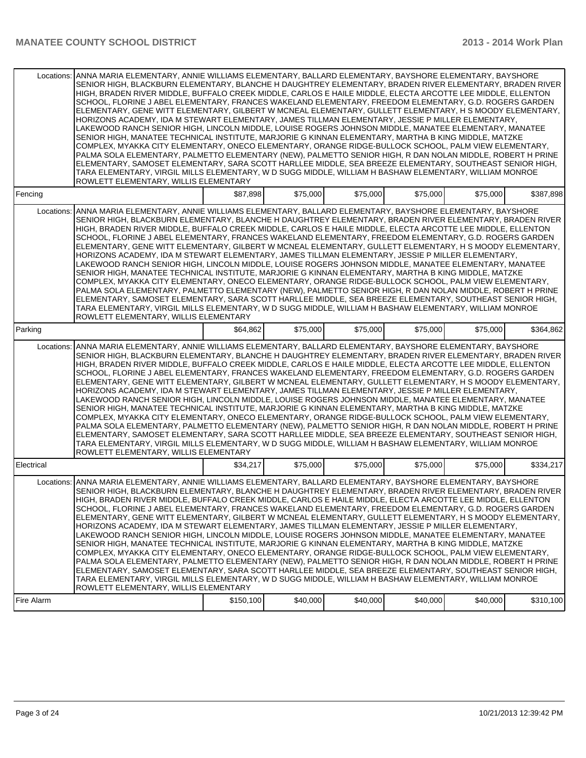| Locations: | ANNA MARIA ELEMENTARY, ANNIE WILLIAMS ELEMENTARY, BALLARD ELEMENTARY, BAYSHORE ELEMENTARY, BAYSHORE<br>SENIOR HIGH, BLACKBURN ELEMENTARY, BLANCHE H DAUGHTREY ELEMENTARY, BRADEN RIVER ELEMENTARY, BRADEN RIVER<br>HIGH, BRADEN RIVER MIDDLE, BUFFALO CREEK MIDDLE, CARLOS E HAILE MIDDLE, ELECTA ARCOTTE LEE MIDDLE, ELLENTON<br>SCHOOL, FLORINE J ABEL ELEMENTARY, FRANCES WAKELAND ELEMENTARY, FREEDOM ELEMENTARY, G.D. ROGERS GARDEN<br>ELEMENTARY, GENE WITT ELEMENTARY, GILBERT W MCNEAL ELEMENTARY, GULLETT ELEMENTARY, H S MOODY ELEMENTARY,<br>HORIZONS ACADEMY, IDA M STEWART ELEMENTARY, JAMES TILLMAN ELEMENTARY, JESSIE P MILLER ELEMENTARY,<br>LAKEWOOD RANCH SENIOR HIGH, LINCOLN MIDDLE, LOUISE ROGERS JOHNSON MIDDLE, MANATEE ELEMENTARY, MANATEE<br>SENIOR HIGH, MANATEE TECHNICAL INSTITUTE, MARJORIE G KINNAN ELEMENTARY, MARTHA B KING MIDDLE, MATZKE<br>COMPLEX, MYAKKA CITY ELEMENTARY, ONECO ELEMENTARY, ORANGE RIDGE-BULLOCK SCHOOL, PALM VIEW ELEMENTARY,<br>PALMA SOLA ELEMENTARY, PALMETTO ELEMENTARY (NEW), PALMETTO SENIOR HIGH, R DAN NOLAN MIDDLE, ROBERT H PRINE<br>ELEMENTARY, SAMOSET ELEMENTARY, SARA SCOTT HARLLEE MIDDLE, SEA BREEZE ELEMENTARY, SOUTHEAST SENIOR HIGH,<br>TARA ELEMENTARY, VIRGIL MILLS ELEMENTARY, W D SUGG MIDDLE, WILLIAM H BASHAW ELEMENTARY, WILLIAM MONROE<br>ROWLETT ELEMENTARY, WILLIS ELEMENTARY |           |          |          |          |          |           |
|------------|------------------------------------------------------------------------------------------------------------------------------------------------------------------------------------------------------------------------------------------------------------------------------------------------------------------------------------------------------------------------------------------------------------------------------------------------------------------------------------------------------------------------------------------------------------------------------------------------------------------------------------------------------------------------------------------------------------------------------------------------------------------------------------------------------------------------------------------------------------------------------------------------------------------------------------------------------------------------------------------------------------------------------------------------------------------------------------------------------------------------------------------------------------------------------------------------------------------------------------------------------------------------------------------------------------------------------------------------------------------|-----------|----------|----------|----------|----------|-----------|
| Fencing    |                                                                                                                                                                                                                                                                                                                                                                                                                                                                                                                                                                                                                                                                                                                                                                                                                                                                                                                                                                                                                                                                                                                                                                                                                                                                                                                                                                  | \$87,898  | \$75,000 | \$75,000 | \$75,000 | \$75,000 | \$387,898 |
| Locations: | ANNA MARIA ELEMENTARY, ANNIE WILLIAMS ELEMENTARY, BALLARD ELEMENTARY, BAYSHORE ELEMENTARY, BAYSHORE<br>SENIOR HIGH, BLACKBURN ELEMENTARY, BLANCHE H DAUGHTREY ELEMENTARY, BRADEN RIVER ELEMENTARY, BRADEN RIVER<br>HIGH, BRADEN RIVER MIDDLE, BUFFALO CREEK MIDDLE, CARLOS E HAILE MIDDLE, ELECTA ARCOTTE LEE MIDDLE, ELLENTON<br>SCHOOL, FLORINE J ABEL ELEMENTARY, FRANCES WAKELAND ELEMENTARY, FREEDOM ELEMENTARY, G.D. ROGERS GARDEN<br>ELEMENTARY, GENE WITT ELEMENTARY, GILBERT W MCNEAL ELEMENTARY, GULLETT ELEMENTARY, H S MOODY ELEMENTARY,<br>HORIZONS ACADEMY, IDA M STEWART ELEMENTARY, JAMES TILLMAN ELEMENTARY, JESSIE P MILLER ELEMENTARY,<br>LAKEWOOD RANCH SENIOR HIGH. LINCOLN MIDDLE. LOUISE ROGERS JOHNSON MIDDLE. MANATEE ELEMENTARY. MANATEE<br>SENIOR HIGH, MANATEE TECHNICAL INSTITUTE, MARJORIE G KINNAN ELEMENTARY, MARTHA B KING MIDDLE, MATZKE<br>COMPLEX, MYAKKA CITY ELEMENTARY, ONECO ELEMENTARY, ORANGE RIDGE-BULLOCK SCHOOL, PALM VIEW ELEMENTARY,<br>PALMA SOLA ELEMENTARY, PALMETTO ELEMENTARY (NEW), PALMETTO SENIOR HIGH, R DAN NOLAN MIDDLE, ROBERT H PRINE<br>ELEMENTARY, SAMOSET ELEMENTARY, SARA SCOTT HARLLEE MIDDLE, SEA BREEZE ELEMENTARY, SOUTHEAST SENIOR HIGH.<br>TARA ELEMENTARY, VIRGIL MILLS ELEMENTARY, W D SUGG MIDDLE, WILLIAM H BASHAW ELEMENTARY, WILLIAM MONROE<br>ROWLETT ELEMENTARY, WILLIS ELEMENTARY |           |          |          |          |          |           |
| Parking    |                                                                                                                                                                                                                                                                                                                                                                                                                                                                                                                                                                                                                                                                                                                                                                                                                                                                                                                                                                                                                                                                                                                                                                                                                                                                                                                                                                  | \$64,862  | \$75,000 | \$75,000 | \$75,000 | \$75,000 | \$364,862 |
| Locations: | ANNA MARIA ELEMENTARY, ANNIE WILLIAMS ELEMENTARY, BALLARD ELEMENTARY, BAYSHORE ELEMENTARY, BAYSHORE<br>SENIOR HIGH, BLACKBURN ELEMENTARY, BLANCHE H DAUGHTREY ELEMENTARY, BRADEN RIVER ELEMENTARY, BRADEN RIVER<br>HIGH, BRADEN RIVER MIDDLE, BUFFALO CREEK MIDDLE, CARLOS E HAILE MIDDLE, ELECTA ARCOTTE LEE MIDDLE, ELLENTON<br>SCHOOL, FLORINE J ABEL ELEMENTARY, FRANCES WAKELAND ELEMENTARY, FREEDOM ELEMENTARY, G.D. ROGERS GARDEN<br>ELEMENTARY, GENE WITT ELEMENTARY, GILBERT W MCNEAL ELEMENTARY, GULLETT ELEMENTARY, H S MOODY ELEMENTARY,<br>HORIZONS ACADEMY, IDA M STEWART ELEMENTARY, JAMES TILLMAN ELEMENTARY, JESSIE P MILLER ELEMENTARY,<br>LAKEWOOD RANCH SENIOR HIGH, LINCOLN MIDDLE, LOUISE ROGERS JOHNSON MIDDLE, MANATEE ELEMENTARY, MANATEE<br>SENIOR HIGH, MANATEE TECHNICAL INSTITUTE, MARJORIE G KINNAN ELEMENTARY, MARTHA B KING MIDDLE, MATZKE<br>COMPLEX, MYAKKA CITY ELEMENTARY, ONECO ELEMENTARY, ORANGE RIDGE-BULLOCK SCHOOL, PALM VIEW ELEMENTARY,<br>PALMA SOLA ELEMENTARY, PALMETTO ELEMENTARY (NEW), PALMETTO SENIOR HIGH, R DAN NOLAN MIDDLE, ROBERT H PRINE<br>ELEMENTARY, SAMOSET ELEMENTARY, SARA SCOTT HARLLEE MIDDLE, SEA BREEZE ELEMENTARY, SOUTHEAST SENIOR HIGH,<br>TARA ELEMENTARY, VIRGIL MILLS ELEMENTARY, W D SUGG MIDDLE, WILLIAM H BASHAW ELEMENTARY, WILLIAM MONROE<br>ROWLETT ELEMENTARY, WILLIS ELEMENTARY |           |          |          |          |          |           |
| Electrical |                                                                                                                                                                                                                                                                                                                                                                                                                                                                                                                                                                                                                                                                                                                                                                                                                                                                                                                                                                                                                                                                                                                                                                                                                                                                                                                                                                  | \$34,217  | \$75,000 | \$75,000 | \$75,000 | \$75,000 | \$334,217 |
| Locations: | ANNA MARIA ELEMENTARY, ANNIE WILLIAMS ELEMENTARY, BALLARD ELEMENTARY, BAYSHORE ELEMENTARY, BAYSHORE<br>SENIOR HIGH, BLACKBURN ELEMENTARY, BLANCHE H DAUGHTREY ELEMENTARY, BRADEN RIVER ELEMENTARY, BRADEN RIVER<br>HIGH, BRADEN RIVER MIDDLE, BUFFALO CREEK MIDDLE, CARLOS E HAILE MIDDLE, ELECTA ARCOTTE LEE MIDDLE, ELLENTON<br>SCHOOL, FLORINE J ABEL ELEMENTARY, FRANCES WAKELAND ELEMENTARY, FREEDOM ELEMENTARY, G.D. ROGERS GARDEN<br>ELEMENTARY, GENE WITT ELEMENTARY, GILBERT W MCNEAL ELEMENTARY, GULLETT ELEMENTARY, H S MOODY ELEMENTARY,<br>HORIZONS ACADEMY. IDA M STEWART ELEMENTARY. JAMES TILLMAN ELEMENTARY. JESSIE P MILLER ELEMENTARY.<br>LAKEWOOD RANCH SENIOR HIGH, LINCOLN MIDDLE, LOUISE ROGERS JOHNSON MIDDLE, MANATEE ELEMENTARY, MANATEE<br>SENIOR HIGH, MANATEE TECHNICAL INSTITUTE, MARJORIE G KINNAN ELEMENTARY, MARTHA B KING MIDDLE, MATZKE<br>COMPLEX, MYAKKA CITY ELEMENTARY, ONECO ELEMENTARY, ORANGE RIDGE-BULLOCK SCHOOL, PALM VIEW ELEMENTARY,<br>PALMA SOLA ELEMENTARY, PALMETTO ELEMENTARY (NEW), PALMETTO SENIOR HIGH, R DAN NOLAN MIDDLE, ROBERT H PRINE<br>ELEMENTARY, SAMOSET ELEMENTARY, SARA SCOTT HARLLEE MIDDLE, SEA BREEZE ELEMENTARY, SOUTHEAST SENIOR HIGH,<br>TARA ELEMENTARY, VIRGIL MILLS ELEMENTARY, W D SUGG MIDDLE, WILLIAM H BASHAW ELEMENTARY, WILLIAM MONROE<br>ROWLETT ELEMENTARY, WILLIS ELEMENTARY |           |          |          |          |          |           |
| Fire Alarm |                                                                                                                                                                                                                                                                                                                                                                                                                                                                                                                                                                                                                                                                                                                                                                                                                                                                                                                                                                                                                                                                                                                                                                                                                                                                                                                                                                  | \$150,100 | \$40,000 | \$40,000 | \$40,000 | \$40,000 | \$310,100 |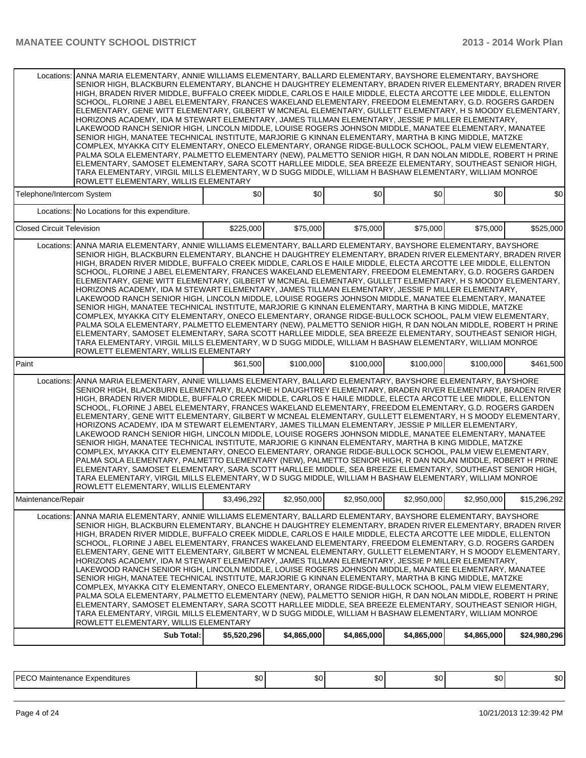| ANNA MARIA ELEMENTARY, ANNIE WILLIAMS ELEMENTARY, BALLARD ELEMENTARY, BAYSHORE ELEMENTARY, BAYSHORE<br>Locations:<br>SENIOR HIGH, BLACKBURN ELEMENTARY, BLANCHE H DAUGHTREY ELEMENTARY, BRADEN RIVER ELEMENTARY, BRADEN RIVER<br>HIGH, BRADEN RIVER MIDDLE, BUFFALO CREEK MIDDLE, CARLOS E HAILE MIDDLE, ELECTA ARCOTTE LEE MIDDLE, ELLENTON<br>SCHOOL, FLORINE J ABEL ELEMENTARY, FRANCES WAKELAND ELEMENTARY, FREEDOM ELEMENTARY, G.D. ROGERS GARDEN<br>ELEMENTARY, GENE WITT ELEMENTARY, GILBERT W MCNEAL ELEMENTARY, GULLETT ELEMENTARY, H S MOODY ELEMENTARY,<br>HORIZONS ACADEMY, IDA M STEWART ELEMENTARY, JAMES TILLMAN ELEMENTARY, JESSIE P MILLER ELEMENTARY,<br>LAKEWOOD RANCH SENIOR HIGH, LINCOLN MIDDLE, LOUISE ROGERS JOHNSON MIDDLE, MANATEE ELEMENTARY, MANATEE<br>SENIOR HIGH, MANATEE TECHNICAL INSTITUTE, MARJORIE G KINNAN ELEMENTARY, MARTHA B KING MIDDLE, MATZKE<br>COMPLEX, MYAKKA CITY ELEMENTARY, ONECO ELEMENTARY, ORANGE RIDGE-BULLOCK SCHOOL, PALM VIEW ELEMENTARY,<br>PALMA SOLA ELEMENTARY, PALMETTO ELEMENTARY (NEW), PALMETTO SENIOR HIGH, R DAN NOLAN MIDDLE, ROBERT H PRINE<br>ELEMENTARY, SAMOSET ELEMENTARY, SARA SCOTT HARLLEE MIDDLE, SEA BREEZE ELEMENTARY, SOUTHEAST SENIOR HIGH,<br>TARA ELEMENTARY, VIRGIL MILLS ELEMENTARY, W D SUGG MIDDLE, WILLIAM H BASHAW ELEMENTARY, WILLIAM MONROE<br>ROWLETT ELEMENTARY, WILLIS ELEMENTARY |             |             |             |             |             |              |  |  |  |  |
|--------------------------------------------------------------------------------------------------------------------------------------------------------------------------------------------------------------------------------------------------------------------------------------------------------------------------------------------------------------------------------------------------------------------------------------------------------------------------------------------------------------------------------------------------------------------------------------------------------------------------------------------------------------------------------------------------------------------------------------------------------------------------------------------------------------------------------------------------------------------------------------------------------------------------------------------------------------------------------------------------------------------------------------------------------------------------------------------------------------------------------------------------------------------------------------------------------------------------------------------------------------------------------------------------------------------------------------------------------------------------------|-------------|-------------|-------------|-------------|-------------|--------------|--|--|--|--|
| Telephone/Intercom System                                                                                                                                                                                                                                                                                                                                                                                                                                                                                                                                                                                                                                                                                                                                                                                                                                                                                                                                                                                                                                                                                                                                                                                                                                                                                                                                                      | \$0         | \$0         | \$0         | \$0         | \$0         | \$0          |  |  |  |  |
| Locations: No Locations for this expenditure.                                                                                                                                                                                                                                                                                                                                                                                                                                                                                                                                                                                                                                                                                                                                                                                                                                                                                                                                                                                                                                                                                                                                                                                                                                                                                                                                  |             |             |             |             |             |              |  |  |  |  |
| <b>Closed Circuit Television</b>                                                                                                                                                                                                                                                                                                                                                                                                                                                                                                                                                                                                                                                                                                                                                                                                                                                                                                                                                                                                                                                                                                                                                                                                                                                                                                                                               | \$225,000   | \$75,000    | \$75,000    | \$75,000    | \$75,000    | \$525,000    |  |  |  |  |
| Locations: ANNA MARIA ELEMENTARY, ANNIE WILLIAMS ELEMENTARY, BALLARD ELEMENTARY, BAYSHORE ELEMENTARY, BAYSHORE<br>SENIOR HIGH, BLACKBURN ELEMENTARY, BLANCHE H DAUGHTREY ELEMENTARY, BRADEN RIVER ELEMENTARY, BRADEN RIVER<br>HIGH, BRADEN RIVER MIDDLE, BUFFALO CREEK MIDDLE, CARLOS E HAILE MIDDLE, ELECTA ARCOTTE LEE MIDDLE, ELLENTON<br>SCHOOL, FLORINE J ABEL ELEMENTARY, FRANCES WAKELAND ELEMENTARY, FREEDOM ELEMENTARY, G.D. ROGERS GARDEN<br>ELEMENTARY, GENE WITT ELEMENTARY, GILBERT W MCNEAL ELEMENTARY, GULLETT ELEMENTARY, H S MOODY ELEMENTARY,<br>HORIZONS ACADEMY, IDA M STEWART ELEMENTARY, JAMES TILLMAN ELEMENTARY, JESSIE P MILLER ELEMENTARY,<br>LAKEWOOD RANCH SENIOR HIGH, LINCOLN MIDDLE, LOUISE ROGERS JOHNSON MIDDLE, MANATEE ELEMENTARY, MANATEE<br>SENIOR HIGH, MANATEE TECHNICAL INSTITUTE, MARJORIE G KINNAN ELEMENTARY, MARTHA B KING MIDDLE, MATZKE<br>COMPLEX, MYAKKA CITY ELEMENTARY, ONECO ELEMENTARY, ORANGE RIDGE-BULLOCK SCHOOL, PALM VIEW ELEMENTARY,<br>PALMA SOLA ELEMENTARY, PALMETTO ELEMENTARY (NEW), PALMETTO SENIOR HIGH, R DAN NOLAN MIDDLE, ROBERT H PRINE<br>ELEMENTARY, SAMOSET ELEMENTARY, SARA SCOTT HARLLEE MIDDLE, SEA BREEZE ELEMENTARY, SOUTHEAST SENIOR HIGH,<br>TARA ELEMENTARY, VIRGIL MILLS ELEMENTARY, W D SUGG MIDDLE, WILLIAM H BASHAW ELEMENTARY, WILLIAM MONROE<br>ROWLETT ELEMENTARY, WILLIS ELEMENTARY    |             |             |             |             |             |              |  |  |  |  |
| Paint                                                                                                                                                                                                                                                                                                                                                                                                                                                                                                                                                                                                                                                                                                                                                                                                                                                                                                                                                                                                                                                                                                                                                                                                                                                                                                                                                                          | \$61,500    | \$100,000   | \$100,000   | \$100,000   | \$100,000   | \$461,500    |  |  |  |  |
| Locations: ANNA MARIA ELEMENTARY, ANNIE WILLIAMS ELEMENTARY, BALLARD ELEMENTARY, BAYSHORE ELEMENTARY, BAYSHORE<br>SENIOR HIGH, BLACKBURN ELEMENTARY, BLANCHE H DAUGHTREY ELEMENTARY, BRADEN RIVER ELEMENTARY, BRADEN RIVER<br>HIGH, BRADEN RIVER MIDDLE, BUFFALO CREEK MIDDLE, CARLOS E HAILE MIDDLE, ELECTA ARCOTTE LEE MIDDLE, ELLENTON<br>SCHOOL, FLORINE J ABEL ELEMENTARY, FRANCES WAKELAND ELEMENTARY, FREEDOM ELEMENTARY, G.D. ROGERS GARDEN<br>ELEMENTARY, GENE WITT ELEMENTARY, GILBERT W MCNEAL ELEMENTARY, GULLETT ELEMENTARY, H S MOODY ELEMENTARY,<br>HORIZONS ACADEMY, IDA M STEWART ELEMENTARY, JAMES TILLMAN ELEMENTARY, JESSIE P MILLER ELEMENTARY,<br>LAKEWOOD RANCH SENIOR HIGH, LINCOLN MIDDLE, LOUISE ROGERS JOHNSON MIDDLE, MANATEE ELEMENTARY, MANATEE<br>SENIOR HIGH, MANATEE TECHNICAL INSTITUTE, MARJORIE G KINNAN ELEMENTARY, MARTHA B KING MIDDLE, MATZKE<br>COMPLEX, MYAKKA CITY ELEMENTARY, ONECO ELEMENTARY, ORANGE RIDGE-BULLOCK SCHOOL, PALM VIEW ELEMENTARY,<br>PALMA SOLA ELEMENTARY, PALMETTO ELEMENTARY (NEW), PALMETTO SENIOR HIGH, R DAN NOLAN MIDDLE, ROBERT H PRINE<br>ELEMENTARY, SAMOSET ELEMENTARY, SARA SCOTT HARLLEE MIDDLE, SEA BREEZE ELEMENTARY, SOUTHEAST SENIOR HIGH,<br>TARA ELEMENTARY, VIRGIL MILLS ELEMENTARY, W D SUGG MIDDLE, WILLIAM H BASHAW ELEMENTARY, WILLIAM MONROE<br>ROWLETT ELEMENTARY, WILLIS ELEMENTARY    |             |             |             |             |             |              |  |  |  |  |
| Maintenance/Repair                                                                                                                                                                                                                                                                                                                                                                                                                                                                                                                                                                                                                                                                                                                                                                                                                                                                                                                                                                                                                                                                                                                                                                                                                                                                                                                                                             | \$3,496,292 | \$2,950,000 | \$2,950,000 | \$2,950,000 | \$2,950,000 | \$15,296,292 |  |  |  |  |
| ANNA MARIA ELEMENTARY, ANNIE WILLIAMS ELEMENTARY, BALLARD ELEMENTARY, BAYSHORE ELEMENTARY, BAYSHORE<br>Locations:<br>SENIOR HIGH, BLACKBURN ELEMENTARY, BLANCHE H DAUGHTREY ELEMENTARY, BRADEN RIVER ELEMENTARY, BRADEN RIVER<br>HIGH, BRADEN RIVER MIDDLE, BUFFALO CREEK MIDDLE, CARLOS E HAILE MIDDLE, ELECTA ARCOTTE LEE MIDDLE, ELLENTON<br>SCHOOL, FLORINE J ABEL ELEMENTARY, FRANCES WAKELAND ELEMENTARY, FREEDOM ELEMENTARY, G.D. ROGERS GARDEN<br>ELEMENTARY, GENE WITT ELEMENTARY, GILBERT W MCNEAL ELEMENTARY, GULLETT ELEMENTARY, H S MOODY ELEMENTARY,<br>HORIZONS ACADEMY, IDA M STEWART ELEMENTARY, JAMES TILLMAN ELEMENTARY, JESSIE P MILLER ELEMENTARY,                                                                                                                                                                                                                                                                                                                                                                                                                                                                                                                                                                                                                                                                                                        |             |             |             |             |             |              |  |  |  |  |
| LAKEWOOD RANCH SENIOR HIGH, LINCOLN MIDDLE, LOUISE ROGERS JOHNSON MIDDLE, MANATEE ELEMENTARY, MANATEE<br>SENIOR HIGH, MANATEE TECHNICAL INSTITUTE, MARJORIE G KINNAN ELEMENTARY, MARTHA B KING MIDDLE, MATZKE<br>COMPLEX, MYAKKA CITY ELEMENTARY, ONECO ELEMENTARY, ORANGE RIDGE-BULLOCK SCHOOL, PALM VIEW ELEMENTARY,<br>PALMA SOLA ELEMENTARY, PALMETTO ELEMENTARY (NEW), PALMETTO SENIOR HIGH, R DAN NOLAN MIDDLE, ROBERT H PRINE<br>ELEMENTARY, SAMOSET ELEMENTARY, SARA SCOTT HARLLEE MIDDLE, SEA BREEZE ELEMENTARY, SOUTHEAST SENIOR HIGH,<br>TARA ELEMENTARY, VIRGIL MILLS ELEMENTARY, W D SUGG MIDDLE, WILLIAM H BASHAW ELEMENTARY, WILLIAM MONROE<br>ROWLETT ELEMENTARY, WILLIS ELEMENTARY                                                                                                                                                                                                                                                                                                                                                                                                                                                                                                                                                                                                                                                                            |             |             |             |             |             |              |  |  |  |  |

PECO Maintenance Expenditures \$0  $\begin{vmatrix} 0 & 0 & 0 \\ 0 & 0 & 0 \\ 0 & 0 & 0 \end{vmatrix}$   $\begin{vmatrix} 0 & 0 & 0 \\ 0 & 0 & 0 \\ 0 & 0 & 0 \end{vmatrix}$   $\begin{vmatrix} 0 & 0 & 0 \\ 0 & 0 & 0 \\ 0 & 0 & 0 \end{vmatrix}$   $\begin{vmatrix} 0 & 0 & 0 \\ 0 & 0 & 0 \\ 0 & 0 & 0 \end{vmatrix}$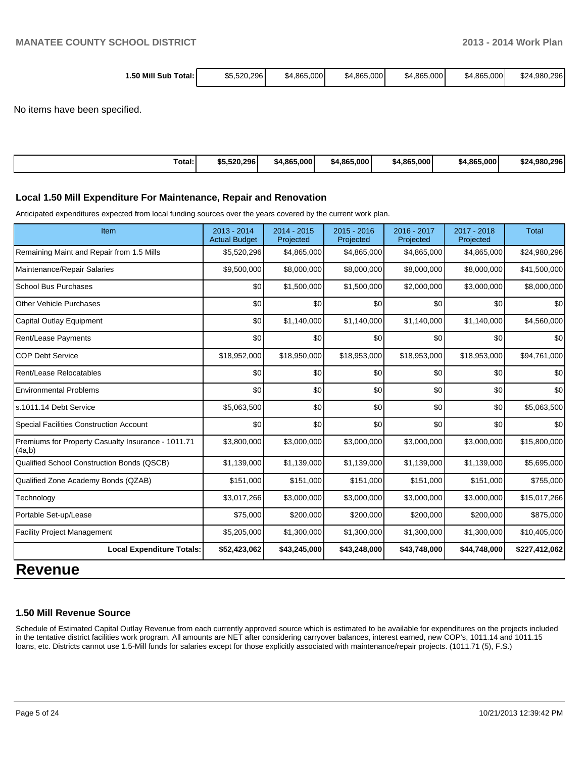| 1.50 Mill Sub<br>Total: | \$5.520.296 | \$4.865.000 | \$4,865,000 | \$4,865,000 | \$4.865,000 | \$24.980.296 |
|-------------------------|-------------|-------------|-------------|-------------|-------------|--------------|
|                         |             |             |             |             |             |              |

No items have been specified.

| Total: | \$5,520,296 | \$4,865,000 | \$4.865,000 | \$4,865,000 | \$4,865,000 | \$24.980.296 |
|--------|-------------|-------------|-------------|-------------|-------------|--------------|
|--------|-------------|-------------|-------------|-------------|-------------|--------------|

#### **Local 1.50 Mill Expenditure For Maintenance, Repair and Renovation**

Anticipated expenditures expected from local funding sources over the years covered by the current work plan.

| Item                                                         | $2013 - 2014$<br><b>Actual Budget</b> | $2014 - 2015$<br>Projected | $2015 - 2016$<br>Projected | 2016 - 2017<br>Projected | 2017 - 2018<br>Projected | <b>Total</b>  |
|--------------------------------------------------------------|---------------------------------------|----------------------------|----------------------------|--------------------------|--------------------------|---------------|
| Remaining Maint and Repair from 1.5 Mills                    | \$5,520,296                           | \$4,865,000                | \$4,865,000                | \$4,865,000              | \$4,865,000              | \$24,980,296  |
| Maintenance/Repair Salaries                                  | \$9,500,000                           | \$8,000,000                | \$8,000,000                | \$8,000,000              | \$8,000,000              | \$41,500,000  |
| <b>School Bus Purchases</b>                                  | \$0                                   | \$1,500,000                | \$1,500,000                | \$2,000,000              | \$3,000,000              | \$8,000,000   |
| <b>Other Vehicle Purchases</b>                               | \$0                                   | \$0                        | \$0                        | \$0                      | \$0                      | \$0           |
| Capital Outlay Equipment                                     | \$0                                   | \$1,140,000                | \$1,140,000                | \$1,140,000              | \$1,140,000              | \$4,560,000   |
| Rent/Lease Payments                                          | \$0                                   | \$0                        | \$0                        | \$0                      | \$0                      | \$0           |
| <b>COP Debt Service</b>                                      | \$18,952,000                          | \$18,950,000               | \$18,953,000               | \$18,953,000             | \$18,953,000             | \$94,761,000  |
| Rent/Lease Relocatables                                      | \$0                                   | \$0                        | \$0                        | \$0                      | \$0                      | \$0           |
| <b>Environmental Problems</b>                                | \$0                                   | \$0                        | \$0                        | \$0                      | \$0                      | \$0           |
| ls.1011.14 Debt Service                                      | \$5,063,500                           | \$0                        | \$0                        | \$0                      | \$0                      | \$5,063,500   |
| <b>Special Facilities Construction Account</b>               | \$0                                   | \$0                        | \$0                        | \$0                      | \$0                      | \$0           |
| Premiums for Property Casualty Insurance - 1011.71<br>(4a,b) | \$3,800,000                           | \$3,000,000                | \$3,000,000                | \$3,000,000              | \$3,000,000              | \$15,800,000  |
| Qualified School Construction Bonds (QSCB)                   | \$1,139,000                           | \$1,139,000                | \$1,139,000                | \$1,139,000              | \$1,139,000              | \$5,695,000   |
| Qualified Zone Academy Bonds (QZAB)                          | \$151,000                             | \$151,000                  | \$151,000                  | \$151,000                | \$151,000                | \$755,000     |
| Technology                                                   | \$3,017,266                           | \$3,000,000                | \$3,000,000                | \$3,000,000              | \$3,000,000              | \$15,017,266  |
| Portable Set-up/Lease                                        | \$75,000                              | \$200,000                  | \$200,000                  | \$200,000                | \$200,000                | \$875,000     |
| <b>Facility Project Management</b>                           | \$5,205,000                           | \$1,300,000                | \$1,300,000                | \$1,300,000              | \$1,300,000              | \$10,405,000  |
| <b>Local Expenditure Totals:</b>                             | \$52,423,062                          | \$43,245,000               | \$43,248,000               | \$43,748,000             | \$44,748,000             | \$227,412,062 |

# **Revenue**

#### **1.50 Mill Revenue Source**

Schedule of Estimated Capital Outlay Revenue from each currently approved source which is estimated to be available for expenditures on the projects included in the tentative district facilities work program. All amounts are NET after considering carryover balances, interest earned, new COP's, 1011.14 and 1011.15 loans, etc. Districts cannot use 1.5-Mill funds for salaries except for those explicitly associated with maintenance/repair projects. (1011.71 (5), F.S.)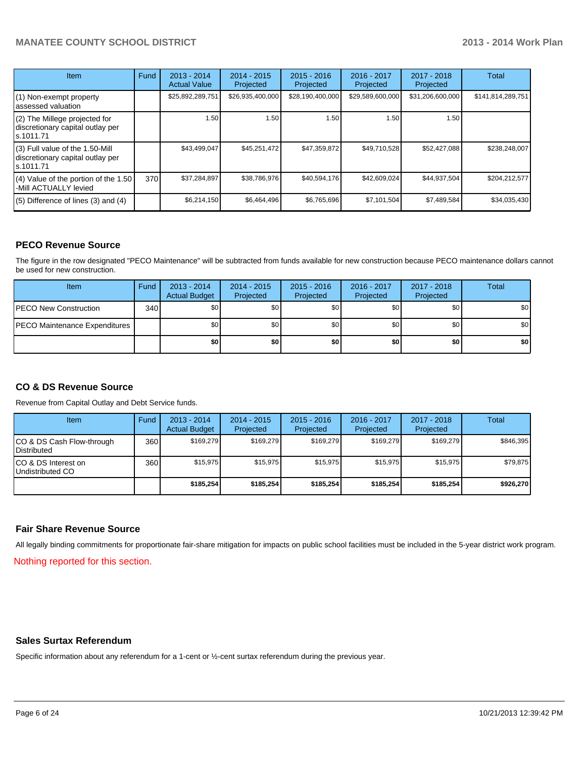| <b>Item</b>                                                                       | Fund | $2013 - 2014$<br><b>Actual Value</b> | $2014 - 2015$<br>Projected | $2015 - 2016$<br>Projected | 2016 - 2017<br>Projected | $2017 - 2018$<br>Projected | Total             |
|-----------------------------------------------------------------------------------|------|--------------------------------------|----------------------------|----------------------------|--------------------------|----------------------------|-------------------|
| (1) Non-exempt property<br>lassessed valuation                                    |      | \$25,892,289,751                     | \$26,935,400,000           | \$28,190,400,000           | \$29,589,600,000         | \$31,206,600,000           | \$141,814,289,751 |
| (2) The Millege projected for<br>discretionary capital outlay per<br>ls.1011.71   |      | 1.50                                 | 1.50                       | 1.50                       | 1.50                     | 1.50                       |                   |
| (3) Full value of the 1.50-Mill<br>discretionary capital outlay per<br>ls.1011.71 |      | \$43,499,047                         | \$45,251,472               | \$47,359,872               | \$49.710.528             | \$52,427,088               | \$238,248,007     |
| (4) Value of the portion of the 1.50<br>-Mill ACTUALLY levied                     | 370  | \$37,284,897                         | \$38,786,976               | \$40,594,176               | \$42,609,024             | \$44,937,504               | \$204,212,577     |
| $(5)$ Difference of lines $(3)$ and $(4)$                                         |      | \$6,214,150                          | \$6,464,496                | \$6,765,696                | \$7,101,504              | \$7,489,584                | \$34,035,430      |

#### **PECO Revenue Source**

The figure in the row designated "PECO Maintenance" will be subtracted from funds available for new construction because PECO maintenance dollars cannot be used for new construction.

| Item                                 | Fund | $2013 - 2014$<br><b>Actual Budget</b> | $2014 - 2015$<br>Projected | $2015 - 2016$<br>Projected | 2016 - 2017<br>Projected | 2017 - 2018<br>Projected | Total |
|--------------------------------------|------|---------------------------------------|----------------------------|----------------------------|--------------------------|--------------------------|-------|
| <b>IPECO New Construction</b>        | 340  | \$0                                   | \$0 <sub>1</sub>           | \$0                        | \$0                      | \$0                      | \$0   |
| <b>PECO Maintenance Expenditures</b> |      | \$0                                   | \$0                        | \$0                        | \$0 <sub>1</sub>         | \$0                      | \$0   |
|                                      |      | \$0                                   | \$0                        | \$0                        | \$0                      | \$0                      | \$0   |

## **CO & DS Revenue Source**

Revenue from Capital Outlay and Debt Service funds.

| Item                                              | Fund             | $2013 - 2014$<br><b>Actual Budget</b> | $2014 - 2015$<br>Projected | $2015 - 2016$<br>Projected | $2016 - 2017$<br>Projected | $2017 - 2018$<br>Projected | Total     |
|---------------------------------------------------|------------------|---------------------------------------|----------------------------|----------------------------|----------------------------|----------------------------|-----------|
| ICO & DS Cash Flow-through<br><b>IDistributed</b> | 360              | \$169.279                             | \$169,279                  | \$169.279                  | \$169.279                  | \$169,279                  | \$846,395 |
| ICO & DS Interest on<br>Undistributed CO          | 360 <sup>I</sup> | \$15.975                              | \$15.975                   | \$15.975                   | \$15.975                   | \$15.975                   | \$79,875  |
|                                                   |                  | \$185,254                             | \$185.254                  | \$185.254                  | \$185.254                  | \$185,254                  | \$926,270 |

#### **Fair Share Revenue Source**

All legally binding commitments for proportionate fair-share mitigation for impacts on public school facilities must be included in the 5-year district work program.

Nothing reported for this section.

#### **Sales Surtax Referendum**

Specific information about any referendum for a 1-cent or ½-cent surtax referendum during the previous year.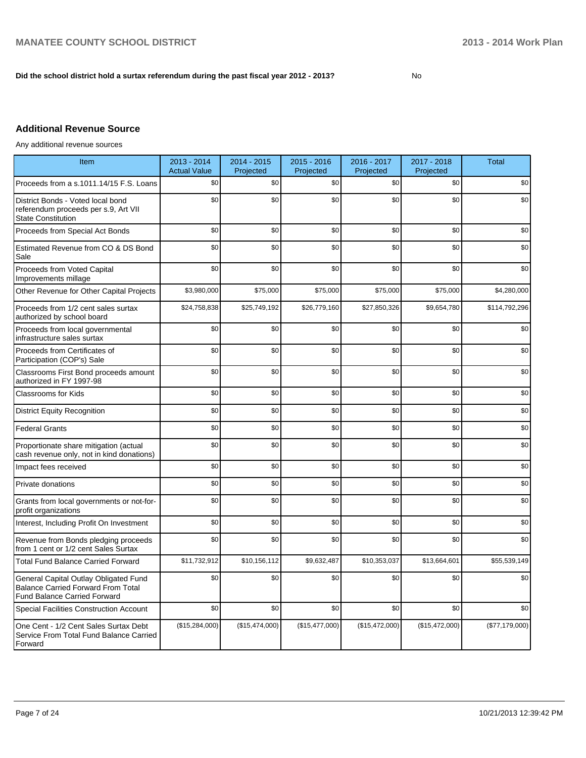#### **Did the school district hold a surtax referendum during the past fiscal year 2012 - 2013?**

No

# **Additional Revenue Source**

Any additional revenue sources

| Item                                                                                                                      | 2013 - 2014<br><b>Actual Value</b> | 2014 - 2015<br>Projected | $2015 - 2016$<br>Projected | 2016 - 2017<br>Projected | 2017 - 2018<br>Projected | <b>Total</b>     |
|---------------------------------------------------------------------------------------------------------------------------|------------------------------------|--------------------------|----------------------------|--------------------------|--------------------------|------------------|
| Proceeds from a s.1011.14/15 F.S. Loans                                                                                   | \$0                                | \$0                      | \$0                        | \$0                      | \$0                      | \$0              |
| District Bonds - Voted local bond<br>referendum proceeds per s.9, Art VII<br><b>State Constitution</b>                    | \$0                                | \$0                      | \$0                        | \$0                      | \$0                      | \$0              |
| Proceeds from Special Act Bonds                                                                                           | \$0                                | \$0                      | \$0                        | \$0                      | \$0                      | \$0              |
| Estimated Revenue from CO & DS Bond<br>Sale                                                                               | \$0                                | \$0                      | \$0                        | \$0                      | \$0                      | \$0              |
| Proceeds from Voted Capital<br>Improvements millage                                                                       | \$0                                | \$0                      | \$0                        | \$0                      | \$0                      | \$0              |
| Other Revenue for Other Capital Projects                                                                                  | \$3,980,000                        | \$75,000                 | \$75,000                   | \$75,000                 | \$75,000                 | \$4,280,000      |
| Proceeds from 1/2 cent sales surtax<br>authorized by school board                                                         | \$24,758,838                       | \$25,749,192             | \$26,779,160               | \$27,850,326             | \$9,654,780              | \$114,792,296    |
| Proceeds from local governmental<br>infrastructure sales surtax                                                           | \$0                                | \$0                      | \$0                        | \$0                      | \$0                      | \$0              |
| Proceeds from Certificates of<br>Participation (COP's) Sale                                                               | \$0                                | \$0                      | \$0                        | \$0                      | \$0                      | \$0              |
| Classrooms First Bond proceeds amount<br>authorized in FY 1997-98                                                         | \$0                                | \$0                      | \$0                        | \$0                      | \$0                      | \$0              |
| <b>Classrooms for Kids</b>                                                                                                | \$0                                | \$0                      | \$0                        | \$0                      | \$0                      | \$0              |
| <b>District Equity Recognition</b>                                                                                        | \$0                                | \$0                      | \$0                        | \$0                      | \$0                      | \$0              |
| <b>Federal Grants</b>                                                                                                     | \$0                                | \$0                      | \$0                        | \$0                      | \$0                      | \$0              |
| Proportionate share mitigation (actual<br>cash revenue only, not in kind donations)                                       | \$0                                | \$0                      | \$0                        | \$0                      | \$0                      | \$0              |
| Impact fees received                                                                                                      | \$0                                | \$0                      | \$0                        | \$0                      | \$0                      | \$0              |
| Private donations                                                                                                         | \$0                                | \$0                      | \$0                        | \$0                      | \$0                      | \$0              |
| Grants from local governments or not-for-<br>profit organizations                                                         | \$0                                | \$0                      | \$0                        | \$0                      | \$0                      | \$0              |
| Interest, Including Profit On Investment                                                                                  | \$0                                | \$0                      | \$0                        | \$0                      | \$0                      | \$0              |
| Revenue from Bonds pledging proceeds<br>from 1 cent or 1/2 cent Sales Surtax                                              | \$0                                | \$0                      | \$0                        | \$0                      | \$0                      | \$0              |
| <b>Total Fund Balance Carried Forward</b>                                                                                 | \$11,732,912                       | \$10,156,112             | \$9,632,487                | \$10,353,037             | \$13,664,601             | \$55,539,149     |
| General Capital Outlay Obligated Fund<br><b>Balance Carried Forward From Total</b><br><b>Fund Balance Carried Forward</b> | \$0                                | \$0                      | \$0                        | \$0                      | \$0                      | \$0              |
| <b>Special Facilities Construction Account</b>                                                                            | \$0                                | \$0                      | \$0                        | \$0                      | \$0                      | \$0              |
| One Cent - 1/2 Cent Sales Surtax Debt<br>Service From Total Fund Balance Carried<br>Forward                               | (\$15,284,000)                     | (\$15,474,000)           | (\$15,477,000)             | (\$15,472,000)           | (\$15,472,000)           | $(\$77,179,000)$ |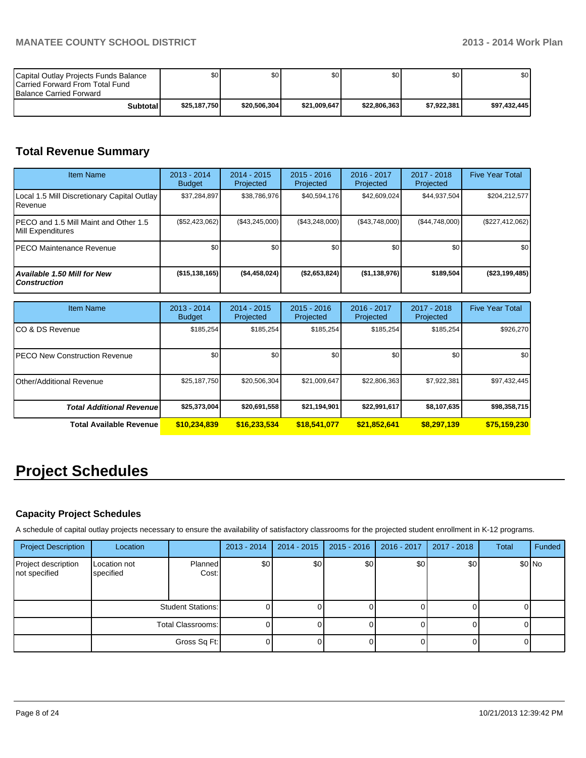| Capital Outlay Projects Funds Balance<br><b>ICarried Forward From Total Fund</b><br><b>Balance Carried Forward</b> | \$٥١         | \$0          | \$0          | \$0 I        | \$0 I       | \$0          |
|--------------------------------------------------------------------------------------------------------------------|--------------|--------------|--------------|--------------|-------------|--------------|
| Subtotal                                                                                                           | \$25.187.750 | \$20,506,304 | \$21.009.647 | \$22,806,363 | \$7.922.381 | \$97.432.445 |

# **Total Revenue Summary**

| <b>Item Name</b>                                           | 2013 - 2014<br><b>Budget</b> | $2014 - 2015$<br>Projected | $2015 - 2016$<br>Projected | $2016 - 2017$<br>Projected | $2017 - 2018$<br>Projected | <b>Five Year Total</b> |
|------------------------------------------------------------|------------------------------|----------------------------|----------------------------|----------------------------|----------------------------|------------------------|
| Local 1.5 Mill Discretionary Capital Outlay<br>l Revenue   | \$37,284,897                 | \$38,786,976               | \$40,594,176               | \$42,609,024               | \$44,937,504               | \$204,212,577          |
| PECO and 1.5 Mill Maint and Other 1.5<br>Mill Expenditures | (\$52,423,062)               | (\$43,245,000)             | (\$43,248,000)             | (\$43,748,000)             | (S44, 748, 000)            | $(\$227,412,062)$      |
| PECO Maintenance Revenue                                   | \$0 <sub>1</sub>             | \$0                        | \$0                        | \$0                        | \$0                        | \$0 <sub>1</sub>       |
| Available 1.50 Mill for New<br><b>Construction</b>         | (\$15, 138, 165)             | (S4, 458, 024)             | (\$2,653,824)              | $($ \$1,138,976)           | \$189,504                  | $($ \$23,199,485)      |

| <b>Item Name</b>                      | 2013 - 2014<br><b>Budget</b> | $2014 - 2015$<br>Projected | $2015 - 2016$<br>Projected | 2016 - 2017<br>Projected | 2017 - 2018<br>Projected | <b>Five Year Total</b> |
|---------------------------------------|------------------------------|----------------------------|----------------------------|--------------------------|--------------------------|------------------------|
| ICO & DS Revenue                      | \$185,254                    | \$185,254                  | \$185,254                  | \$185,254                | \$185,254                | \$926,270              |
| <b>IPECO New Construction Revenue</b> | \$0                          | \$0                        | \$0                        | \$0                      | \$0 <sub>1</sub>         | \$0 <sub>1</sub>       |
| <b>I</b> Other/Additional Revenue     | \$25,187,750                 | \$20,506,304               | \$21,009,647               | \$22,806,363             | \$7,922,381              | \$97,432,445           |
| <b>Total Additional Revenuel</b>      | \$25,373,004                 | \$20,691,558               | \$21,194,901               | \$22,991,617             | \$8,107,635              | \$98,358,715           |
| <b>Total Available Revenue</b>        | \$10,234,839                 | \$16,233,534               | \$18,541,077               | \$21,852,641             | \$8,297,139              | \$75,159,230           |

# **Project Schedules**

# **Capacity Project Schedules**

A schedule of capital outlay projects necessary to ensure the availability of satisfactory classrooms for the projected student enrollment in K-12 programs.

| <b>Project Description</b>           | Location                  |                   | $2013 - 2014$ | $2014 - 2015$ | $2015 - 2016$ | 2016 - 2017      | 2017 - 2018 | Total | Funded  |
|--------------------------------------|---------------------------|-------------------|---------------|---------------|---------------|------------------|-------------|-------|---------|
| Project description<br>not specified | Location not<br>specified | Planned<br>Cost:  | \$0           | \$0           | \$0           | \$0 <sub>1</sub> | \$0         |       | $$0$ No |
|                                      |                           | Student Stations: |               |               |               |                  |             |       |         |
|                                      |                           | Total Classrooms: | υı            |               |               |                  |             |       |         |
|                                      |                           | Gross Sq Ft:      |               |               |               |                  |             |       |         |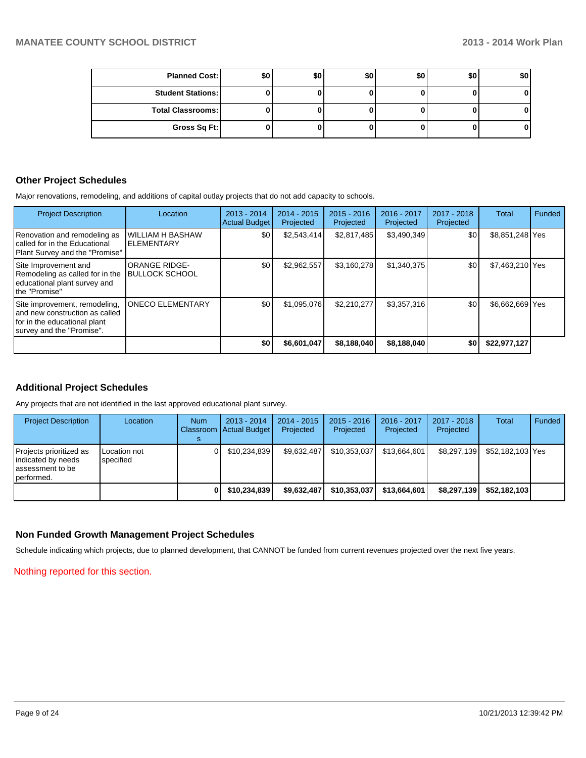| <b>Planned Cost:</b>     | \$0 | \$0 | \$0 | \$0 | \$0 | \$0 |
|--------------------------|-----|-----|-----|-----|-----|-----|
| <b>Student Stations:</b> |     |     |     |     |     | 01  |
| <b>Total Classrooms:</b> |     |     |     |     |     | 01  |
| Gross Sq Ft:             |     |     |     |     |     | 01  |

#### **Other Project Schedules**

Major renovations, remodeling, and additions of capital outlay projects that do not add capacity to schools.

| <b>Project Description</b>                                                                                                    | Location                                | $2013 - 2014$<br><b>Actual Budget</b> | $2014 - 2015$<br>Projected | $2015 - 2016$<br>Projected | 2016 - 2017<br>Projected | 2017 - 2018<br>Projected | <b>Total</b>    | Funded |
|-------------------------------------------------------------------------------------------------------------------------------|-----------------------------------------|---------------------------------------|----------------------------|----------------------------|--------------------------|--------------------------|-----------------|--------|
| Renovation and remodeling as<br>called for in the Educational<br>Plant Survey and the "Promise"                               | <b>WILLIAM H BASHAW</b><br>IELEMENTARY  | \$0                                   | \$2,543,414                | \$2,817,485                | \$3,490,349              | \$0                      | \$8,851,248 Yes |        |
| Site Improvement and<br>Remodeling as called for in the<br>educational plant survey and<br>Ithe "Promise"                     | IORANGE RIDGE-<br><b>BULLOCK SCHOOL</b> | \$0                                   | \$2,962,557                | \$3,160,278                | \$1,340,375              | \$0                      | \$7,463,210 Yes |        |
| Site improvement, remodeling,<br>land new construction as called<br>for in the educational plant<br>survey and the "Promise". | <b>ONECO ELEMENTARY</b>                 | \$0                                   | \$1,095,076                | \$2.210.277                | \$3,357,316              | \$0                      | \$6,662,669 Yes |        |
|                                                                                                                               |                                         | \$0                                   | \$6,601,047                | \$8,188,040                | \$8,188,040              | \$0                      | \$22,977,127    |        |

## **Additional Project Schedules**

Any projects that are not identified in the last approved educational plant survey.

| <b>Project Description</b>                                                        | Location                  | <b>Num</b> | $2013 - 2014$<br>Classroom   Actual Budget | $2014 - 2015$<br>Projected | $2015 - 2016$<br>Projected | 2016 - 2017<br>Projected | 2017 - 2018<br>Projected | <b>Total</b>     | Funded |
|-----------------------------------------------------------------------------------|---------------------------|------------|--------------------------------------------|----------------------------|----------------------------|--------------------------|--------------------------|------------------|--------|
| Projects prioritized as<br>indicated by needs<br>lassessment to be<br>Iperformed. | Location not<br>specified |            | \$10.234.839                               | \$9.632.487                | \$10.353.037               | \$13.664.601             | \$8.297.139              | \$52.182.103 Yes |        |
|                                                                                   |                           |            | \$10.234.839                               | \$9,632,487                | \$10,353,037               | \$13,664,601             | \$8,297,139              | \$52.182.103     |        |

#### **Non Funded Growth Management Project Schedules**

Schedule indicating which projects, due to planned development, that CANNOT be funded from current revenues projected over the next five years.

Nothing reported for this section.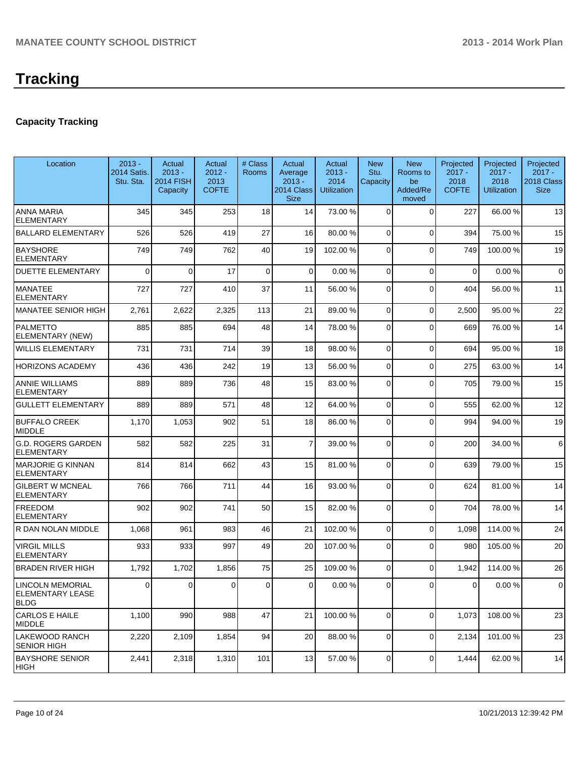# **Capacity Tracking**

| Location                                                    | $2013 -$<br><b>2014 Satis.</b><br>Stu. Sta. | Actual<br>$2013 -$<br><b>2014 FISH</b><br>Capacity | Actual<br>$2012 -$<br>2013<br><b>COFTE</b> | # Class<br><b>Rooms</b> | Actual<br>Average<br>$2013 -$<br>2014 Class<br><b>Size</b> | Actual<br>$2013 -$<br>2014<br><b>Utilization</b> | <b>New</b><br>Stu.<br>Capacity | <b>New</b><br>Rooms to<br>be<br>Added/Re<br>moved | Projected<br>$2017 -$<br>2018<br><b>COFTE</b> | Projected<br>$2017 -$<br>2018<br><b>Utilization</b> | Projected<br>$2017 -$<br>2018 Class<br><b>Size</b> |
|-------------------------------------------------------------|---------------------------------------------|----------------------------------------------------|--------------------------------------------|-------------------------|------------------------------------------------------------|--------------------------------------------------|--------------------------------|---------------------------------------------------|-----------------------------------------------|-----------------------------------------------------|----------------------------------------------------|
| <b>ANNA MARIA</b><br><b>ELEMENTARY</b>                      | 345                                         | 345                                                | 253                                        | 18                      | 14                                                         | 73.00 %                                          | $\Omega$                       | $\Omega$                                          | 227                                           | 66.00 %                                             | 13                                                 |
| <b>BALLARD ELEMENTARY</b>                                   | 526                                         | 526                                                | 419                                        | 27                      | 16                                                         | 80.00 %                                          | 0                              | $\Omega$                                          | 394                                           | 75.00 %                                             | 15                                                 |
| <b>BAYSHORE</b><br><b>ELEMENTARY</b>                        | 749                                         | 749                                                | 762                                        | 40                      | 19                                                         | 102.00%                                          | $\Omega$                       | $\Omega$                                          | 749                                           | 100.00%                                             | 19                                                 |
| <b>DUETTE ELEMENTARY</b>                                    | $\Omega$                                    | $\Omega$                                           | 17                                         | $\overline{0}$          | 0                                                          | 0.00 %                                           | $\Omega$                       | $\Omega$                                          | $\Omega$                                      | 0.00%                                               | $\mathbf 0$                                        |
| MANATEE<br><b>ELEMENTARY</b>                                | 727                                         | 727                                                | 410                                        | 37                      | 11                                                         | 56.00 %                                          | $\Omega$                       | $\Omega$                                          | 404                                           | 56.00 %                                             | 11                                                 |
| MANATEE SENIOR HIGH                                         | 2,761                                       | 2,622                                              | 2,325                                      | 113                     | 21                                                         | 89.00 %                                          | $\overline{0}$                 | $\Omega$                                          | 2,500                                         | 95.00 %                                             | 22                                                 |
| PALMETTO<br>ELEMENTARY (NEW)                                | 885                                         | 885                                                | 694                                        | 48                      | 14                                                         | 78.00 %                                          | 0                              | $\Omega$                                          | 669                                           | 76.00 %                                             | 14                                                 |
| WILLIS ELEMENTARY                                           | 731                                         | 731                                                | 714                                        | 39                      | 18                                                         | 98.00 %                                          | $\Omega$                       | $\Omega$                                          | 694                                           | 95.00 %                                             | 18                                                 |
| <b>HORIZONS ACADEMY</b>                                     | 436                                         | 436                                                | 242                                        | 19                      | 13                                                         | 56.00 %                                          | $\Omega$                       | $\Omega$                                          | 275                                           | 63.00 %                                             | 14                                                 |
| <b>ANNIE WILLIAMS</b><br><b>ELEMENTARY</b>                  | 889                                         | 889                                                | 736                                        | 48                      | 15                                                         | 83.00 %                                          | $\Omega$                       | $\Omega$                                          | 705                                           | 79.00 %                                             | 15                                                 |
| <b>GULLETT ELEMENTARY</b>                                   | 889                                         | 889                                                | 571                                        | 48                      | 12                                                         | 64.00 %                                          | $\Omega$                       | $\Omega$                                          | 555                                           | 62.00%                                              | 12                                                 |
| <b>BUFFALO CREEK</b><br>MIDDLE                              | 1,170                                       | 1,053                                              | 902                                        | 51                      | 18                                                         | 86.00 %                                          | $\Omega$                       | $\Omega$                                          | 994                                           | 94.00%                                              | 19                                                 |
| <b>G.D. ROGERS GARDEN</b><br>ELEMENTARY                     | 582                                         | 582                                                | 225                                        | 31                      | $\overline{7}$                                             | 39.00 %                                          | $\Omega$                       | $\Omega$                                          | 200                                           | 34.00 %                                             | 6                                                  |
| MARJORIE G KINNAN<br><b>ELEMENTARY</b>                      | 814                                         | 814                                                | 662                                        | 43                      | 15                                                         | 81.00 %                                          | $\Omega$                       | $\Omega$                                          | 639                                           | 79.00 %                                             | 15                                                 |
| <b>GILBERT W MCNEAL</b><br><b>ELEMENTARY</b>                | 766                                         | 766                                                | 711                                        | 44                      | 16                                                         | 93.00 %                                          | $\Omega$                       | $\Omega$                                          | 624                                           | 81.00%                                              | 14                                                 |
| <b>FREEDOM</b><br><b>ELEMENTARY</b>                         | 902                                         | 902                                                | 741                                        | 50                      | 15                                                         | 82.00 %                                          | 0                              | $\Omega$                                          | 704                                           | 78.00 %                                             | 14                                                 |
| R DAN NOLAN MIDDLE                                          | 1,068                                       | 961                                                | 983                                        | 46                      | 21                                                         | 102.00%                                          | $\overline{0}$                 | $\Omega$                                          | 1,098                                         | 114.00 %                                            | 24                                                 |
| <b>VIRGIL MILLS</b><br><b>ELEMENTARY</b>                    | 933                                         | 933                                                | 997                                        | 49                      | 20                                                         | 107.00%                                          | $\Omega$                       | $\Omega$                                          | 980                                           | 105.00 %                                            | 20                                                 |
| <b>BRADEN RIVER HIGH</b>                                    | 1,792                                       | 1,702                                              | 1,856                                      | 75                      | 25                                                         | 109.00%                                          | 0                              | $\Omega$                                          | 1,942                                         | 114.00 %                                            | 26                                                 |
| LINCOLN MEMORIAL<br><b>ELEMENTARY LEASE</b><br><b>IBLDG</b> | $\overline{0}$                              | 0                                                  | $\overline{0}$                             | $\circ$                 | $\overline{0}$                                             | 0.00 %                                           | $\overline{0}$                 | οI                                                | 0                                             | $0.00\,\%$                                          | 0                                                  |
| CARLOS E HAILE<br>MIDDLE                                    | 1,100                                       | 990                                                | 988                                        | 47                      | 21                                                         | 100.00 %                                         | $\Omega$                       | $\Omega$                                          | 1,073                                         | 108.00%                                             | 23                                                 |
| LAKEWOOD RANCH<br><b>SENIOR HIGH</b>                        | 2,220                                       | 2,109                                              | 1,854                                      | 94                      | 20                                                         | 88.00 %                                          | $\overline{0}$                 | $\overline{0}$                                    | 2,134                                         | 101.00%                                             | 23                                                 |
| <b>BAYSHORE SENIOR</b><br>HIGH                              | 2,441                                       | 2,318                                              | 1,310                                      | 101                     | 13                                                         | 57.00 %                                          | $\overline{0}$                 | $\overline{0}$                                    | 1,444                                         | 62.00%                                              | 14                                                 |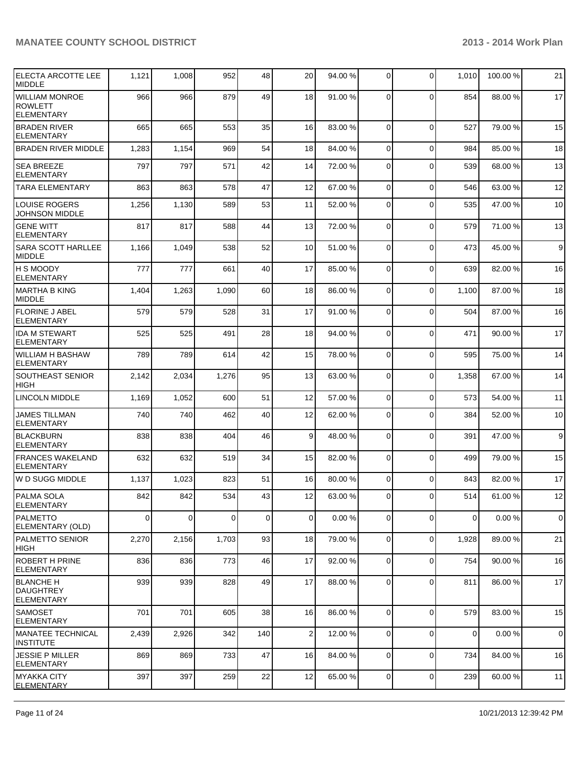| <b>ELECTA ARCOTTE LEE</b><br><b>IMIDDLE</b>        | 1,121 | 1,008    | 952      | 48          | 20              | 94.00 % | $\overline{0}$ | $\mathbf 0$ | 1,010       | 100.00% | 21               |
|----------------------------------------------------|-------|----------|----------|-------------|-----------------|---------|----------------|-------------|-------------|---------|------------------|
| WILLIAM MONROE<br><b>ROWLETT</b><br>ELEMENTARY     | 966   | 966      | 879      | 49          | 18              | 91.00 % | $\Omega$       | $\Omega$    | 854         | 88.00 % | 17               |
| <b>BRADEN RIVER</b><br><b>ELEMENTARY</b>           | 665   | 665      | 553      | 35          | 16              | 83.00 % | $\Omega$       | $\mathbf 0$ | 527         | 79.00 % | 15               |
| <b>BRADEN RIVER MIDDLE</b>                         | 1,283 | 1,154    | 969      | 54          | 18              | 84.00 % | $\Omega$       | $\mathbf 0$ | 984         | 85.00 % | 18               |
| <b>SEA BREEZE</b><br><b>ELEMENTARY</b>             | 797   | 797      | 571      | 42          | 14              | 72.00 % | $\Omega$       | $\mathbf 0$ | 539         | 68.00 % | 13               |
| <b>TARA ELEMENTARY</b>                             | 863   | 863      | 578      | 47          | 12              | 67.00 % | $\overline{0}$ | $\mathbf 0$ | 546         | 63.00%  | 12               |
| <b>LOUISE ROGERS</b><br><b>JOHNSON MIDDLE</b>      | 1,256 | 1,130    | 589      | 53          | 11              | 52.00 % | $\Omega$       | $\mathbf 0$ | 535         | 47.00 % | 10               |
| <b>GENE WITT</b><br><b>ELEMENTARY</b>              | 817   | 817      | 588      | 44          | 13              | 72.00 % | $\Omega$       | $\mathbf 0$ | 579         | 71.00 % | 13               |
| <b>SARA SCOTT HARLLEE</b><br>MIDDLE                | 1,166 | 1,049    | 538      | 52          | 10              | 51.00 % | $\Omega$       | $\mathbf 0$ | 473         | 45.00 % | $\boldsymbol{9}$ |
| H S MOODY<br><b>ELEMENTARY</b>                     | 777   | 777      | 661      | 40          | 17              | 85.00 % | $\Omega$       | $\mathbf 0$ | 639         | 82.00%  | 16               |
| IMARTHA B KING<br>MIDDLE                           | 1,404 | 1,263    | 1,090    | 60          | 18              | 86.00 % | $\overline{0}$ | $\mathbf 0$ | 1,100       | 87.00 % | 18               |
| <b>FLORINE J ABEL</b><br>ELEMENTARY                | 579   | 579      | 528      | 31          | 17              | 91.00 % | $\Omega$       | $\Omega$    | 504         | 87.00 % | 16               |
| <b>IDA M STEWART</b><br>ELEMENTARY                 | 525   | 525      | 491      | 28          | 18              | 94.00 % | 0              | 0           | 471         | 90.00 % | 17               |
| WILLIAM H BASHAW<br><b>ELEMENTARY</b>              | 789   | 789      | 614      | 42          | 15              | 78.00 % | $\Omega$       | $\mathbf 0$ | 595         | 75.00 % | 14               |
| <b>SOUTHEAST SENIOR</b><br><b>HIGH</b>             | 2,142 | 2,034    | 1,276    | 95          | 13              | 63.00 % | $\overline{0}$ | $\mathbf 0$ | 1,358       | 67.00 % | 14               |
| <b>LINCOLN MIDDLE</b>                              | 1,169 | 1,052    | 600      | 51          | 12              | 57.00 % | 0              | $\mathbf 0$ | 573         | 54.00 % | 11               |
| <b>JAMES TILLMAN</b><br><b>ELEMENTARY</b>          | 740   | 740      | 462      | 40          | 12              | 62.00 % | 0              | $\mathbf 0$ | 384         | 52.00 % | 10               |
| BLACKBURN<br><b>ELEMENTARY</b>                     | 838   | 838      | 404      | 46          | $\vert 9 \vert$ | 48.00 % | 0              | $\mathbf 0$ | 391         | 47.00 % | 9                |
| <b>FRANCES WAKELAND</b><br>ELEMENTARY              | 632   | 632      | 519      | 34          | 15              | 82.00 % | $\overline{0}$ | $\mathbf 0$ | 499         | 79.00 % | 15               |
| W D SUGG MIDDLE                                    | 1,137 | 1,023    | 823      | 51          | 16              | 80.00 % | $\overline{0}$ | $\Omega$    | 843         | 82.00 % | 17               |
| PALMA SOLA<br><b>ELEMENTARY</b>                    | 842   | 842      | 534      | 43          | 12              | 63.00 % |                | $\mathbf 0$ | 514         | 61.00%  | 12               |
| PALMETTO<br>ELEMENTARY (OLD)                       | 0     | $\Omega$ | $\Omega$ | $\mathbf 0$ | $\Omega$        | 0.00%   | 0              | $\mathbf 0$ | 0           | 0.00%   | $\pmb{0}$        |
| PALMETTO SENIOR<br> HIGH                           | 2,270 | 2,156    | 1,703    | 93          | 18              | 79.00 % | $\Omega$       | $\mathbf 0$ | 1,928       | 89.00%  | 21               |
| ROBERT H PRINE<br><b>ELEMENTARY</b>                | 836   | 836      | 773      | 46          | 17              | 92.00 % | $\overline{0}$ | $\pmb{0}$   | 754         | 90.00 % | 16               |
| <b>BLANCHE H</b><br><b>DAUGHTREY</b><br>ELEMENTARY | 939   | 939      | 828      | 49          | 17              | 88.00 % | $\Omega$       | $\mathbf 0$ | 811         | 86.00 % | 17               |
| <b>SAMOSET</b><br><b>ELEMENTARY</b>                | 701   | 701      | 605      | 38          | 16              | 86.00 % | $\Omega$       | $\mathbf 0$ | 579         | 83.00 % | 15               |
| MANATEE TECHNICAL<br><b>INSTITUTE</b>              | 2,439 | 2,926    | 342      | 140         | $\overline{2}$  | 12.00 % | $\Omega$       | $\mathbf 0$ | $\mathbf 0$ | 0.00%   | $\mathbf 0$      |
| <b>JESSIE P MILLER</b><br>ELEMENTARY               | 869   | 869      | 733      | 47          | 16              | 84.00 % | 0              | $\mathbf 0$ | 734         | 84.00%  | 16               |
| MYAKKA CITY<br><b>ELEMENTARY</b>                   | 397   | 397      | 259      | 22          | 12              | 65.00 % | $\overline{0}$ | 0           | 239         | 60.00%  | 11               |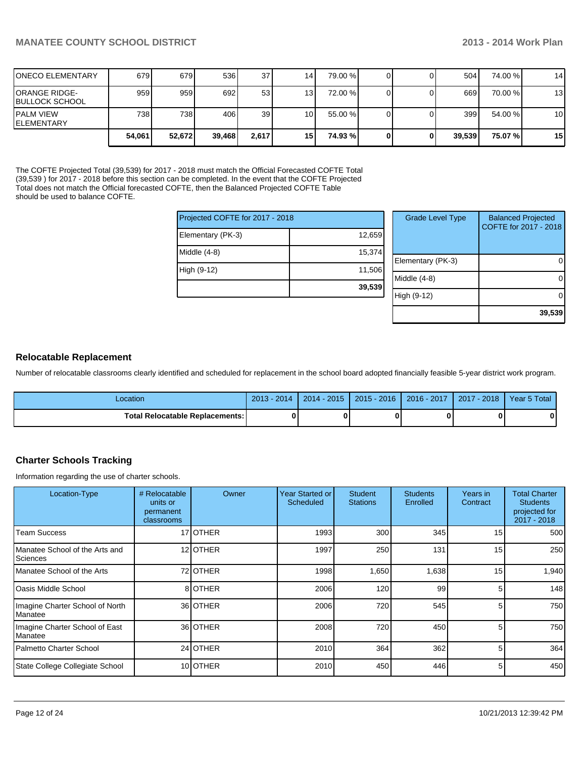**39,539**

| <b>IONECO ELEMENTARY</b>          | 679    | 679I   | 536    | 37 <sup>1</sup> | 14   | 79.00 %  |   | 504    | 74.00 % | 14              |
|-----------------------------------|--------|--------|--------|-----------------|------|----------|---|--------|---------|-----------------|
| IORANGE RIDGE-<br>IBULLOCK SCHOOL | 959    | 959    | 692    | 53              | 131  | 72.00 %  |   | 669    | 70.00 % | 13              |
| IPALM VIEW<br>IELEMENTARY         | 738 l  | 738 I  | 406 l  | 39 <sup>1</sup> | 10 I | 55.00 %  |   | 399    | 54.00 % | 10              |
|                                   | 54.061 | 52,672 | 39,468 | 2,617           | 15 I | 74.93 %l | 0 | 39,539 | 75.07%  | 15 <sub>l</sub> |

The COFTE Projected Total (39,539) for 2017 - 2018 must match the Official Forecasted COFTE Total (39,539 ) for 2017 - 2018 before this section can be completed. In the event that the COFTE Projected Total does not match the Official forecasted COFTE, then the Balanced Projected COFTE Table should be used to balance COFTE.

| Projected COFTE for 2017 - 2018 |        | <b>Grade Level Type</b> | <b>Balanced Projected</b><br>COFTE for 2017 - 2018 |
|---------------------------------|--------|-------------------------|----------------------------------------------------|
| Elementary (PK-3)               | 12,659 |                         |                                                    |
| Middle (4-8)                    | 15,374 |                         |                                                    |
|                                 |        | Elementary (PK-3)       |                                                    |
| High (9-12)                     | 11,506 |                         |                                                    |
|                                 |        | Middle (4-8)            |                                                    |
|                                 | 39,539 |                         |                                                    |
|                                 |        | High (9-12)             |                                                    |
|                                 |        |                         |                                                    |

#### **Relocatable Replacement**

Number of relocatable classrooms clearly identified and scheduled for replacement in the school board adopted financially feasible 5-year district work program.

| -ocation                          | 2013<br>$-2014$ | $2014 - 2015$ | $2015 - 2016$ | 2016 - 2017 | $-2018$<br>2017 | Year 5 Total |
|-----------------------------------|-----------------|---------------|---------------|-------------|-----------------|--------------|
| Total Relocatable Replacements: I | 0               |               |               |             |                 |              |

## **Charter Schools Tracking**

Information regarding the use of charter schools.

| Location-Type                                       | # Relocatable<br>units or<br>permanent<br>classrooms | Owner            | Year Started or<br>Scheduled | <b>Student</b><br><b>Stations</b> | <b>Students</b><br>Enrolled | Years in<br>Contract | <b>Total Charter</b><br><b>Students</b><br>projected for<br>2017 - 2018 |
|-----------------------------------------------------|------------------------------------------------------|------------------|------------------------------|-----------------------------------|-----------------------------|----------------------|-------------------------------------------------------------------------|
| <b>Team Success</b>                                 |                                                      | 17 <b>OTHER</b>  | 1993                         | 300                               | 345                         | 15                   | 500                                                                     |
| Manatee School of the Arts and<br>Sciences          |                                                      | 12 <b>OTHER</b>  | 1997                         | 250                               | 131                         | 15                   | 250                                                                     |
| Manatee School of the Arts                          |                                                      | 72 <b>JOTHER</b> | 1998                         | 1,650                             | 1,638                       | 15                   | 1,940                                                                   |
| lOasis Middle School                                |                                                      | 8 OTHER          | 2006                         | 120                               | 99                          | 5                    | 148                                                                     |
| Imagine Charter School of North<br><b>I</b> Manatee |                                                      | 36 OTHER         | 2006                         | 720                               | 545                         | 5                    | 750                                                                     |
| Imagine Charter School of East<br><b>I</b> Manatee  |                                                      | 36 OTHER         | 2008                         | 720                               | 450                         | 5                    | 750                                                                     |
| Palmetto Charter School                             |                                                      | 24 OTHER         | 2010                         | 364                               | 362                         | 5                    | 364                                                                     |
| State College Collegiate School                     |                                                      | 10 <b>OTHER</b>  | 2010                         | 450                               | 446                         | 5                    | 450                                                                     |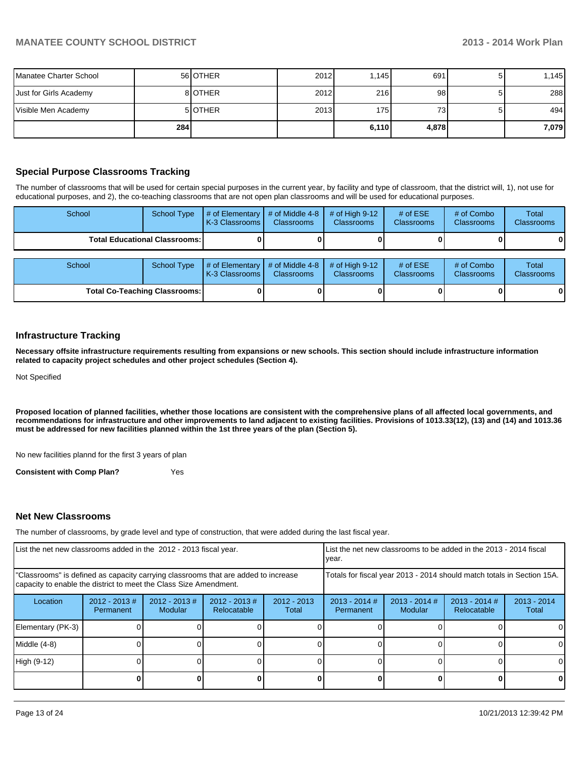| Manatee Charter School |     | 56 OTHER       | 2012 | .145  | 691   |   | .145  |
|------------------------|-----|----------------|------|-------|-------|---|-------|
| Just for Girls Academy |     | 81OTHER        | 2012 | 216   | 98    |   | 288   |
| Visible Men Academy    |     | 5 <b>OTHER</b> | 2013 | 175   | 73.   | 5 | 494   |
|                        | 284 |                |      | 6,110 | 4,878 |   | 7,079 |

## **Special Purpose Classrooms Tracking**

The number of classrooms that will be used for certain special purposes in the current year, by facility and type of classroom, that the district will, 1), not use for educational purposes, and 2), the co-teaching classrooms that are not open plan classrooms and will be used for educational purposes.

| School | <b>School Type</b>                     | # of Elementary<br>K-3 Classrooms I | # of Middle 4-8<br><b>Classrooms</b> | # of High 9-12<br><b>Classrooms</b> | # of $ESE$<br>Classrooms        | # of Combo<br><b>Classrooms</b> | Total<br><b>Classrooms</b> |
|--------|----------------------------------------|-------------------------------------|--------------------------------------|-------------------------------------|---------------------------------|---------------------------------|----------------------------|
|        | <b>Total Educational Classrooms: I</b> |                                     |                                      |                                     |                                 |                                 |                            |
|        |                                        |                                     |                                      |                                     |                                 |                                 |                            |
| School | School Type                            | # of Elementary<br>K-3 Classrooms   | # of Middle 4-8<br><b>Classrooms</b> | # of High $9-12$<br>Classrooms      | # of $ESE$<br><b>Classrooms</b> | # of Combo<br><b>Classrooms</b> | Total<br>Classrooms        |
|        | <b>Total Co-Teaching Classrooms:</b>   |                                     |                                      |                                     |                                 |                                 | 0                          |

#### **Infrastructure Tracking**

**Necessary offsite infrastructure requirements resulting from expansions or new schools. This section should include infrastructure information related to capacity project schedules and other project schedules (Section 4).**

Not Specified

**Proposed location of planned facilities, whether those locations are consistent with the comprehensive plans of all affected local governments, and recommendations for infrastructure and other improvements to land adjacent to existing facilities. Provisions of 1013.33(12), (13) and (14) and 1013.36 must be addressed for new facilities planned within the 1st three years of the plan (Section 5).**

No new facilities plannd for the first 3 years of plan

**Consistent with Comp Plan?** Yes

#### **Net New Classrooms**

The number of classrooms, by grade level and type of construction, that were added during the last fiscal year.

| List the net new classrooms added in the 2012 - 2013 fiscal year.                                                                                       |                              |                            | List the net new classrooms to be added in the 2013 - 2014 fiscal<br>Ivear. |                        |                                                                        |                            |                                |                        |
|---------------------------------------------------------------------------------------------------------------------------------------------------------|------------------------------|----------------------------|-----------------------------------------------------------------------------|------------------------|------------------------------------------------------------------------|----------------------------|--------------------------------|------------------------|
| "Classrooms" is defined as capacity carrying classrooms that are added to increase<br>capacity to enable the district to meet the Class Size Amendment. |                              |                            |                                                                             |                        | Totals for fiscal year 2013 - 2014 should match totals in Section 15A. |                            |                                |                        |
| Location                                                                                                                                                | $2012 - 2013$ #<br>Permanent | $2012 - 2013$ #<br>Modular | $2012 - 2013$ #<br>Relocatable                                              | $2012 - 2013$<br>Total | $2013 - 2014$ #<br>Permanent                                           | $2013 - 2014$ #<br>Modular | $2013 - 2014$ #<br>Relocatable | $2013 - 2014$<br>Total |
| Elementary (PK-3)                                                                                                                                       |                              |                            |                                                                             |                        |                                                                        |                            |                                | $\Omega$               |
| Middle (4-8)                                                                                                                                            |                              |                            |                                                                             |                        |                                                                        |                            |                                | $\Omega$               |
| High (9-12)                                                                                                                                             |                              |                            |                                                                             |                        |                                                                        |                            |                                | $\Omega$               |
|                                                                                                                                                         |                              |                            |                                                                             |                        |                                                                        |                            |                                | 0                      |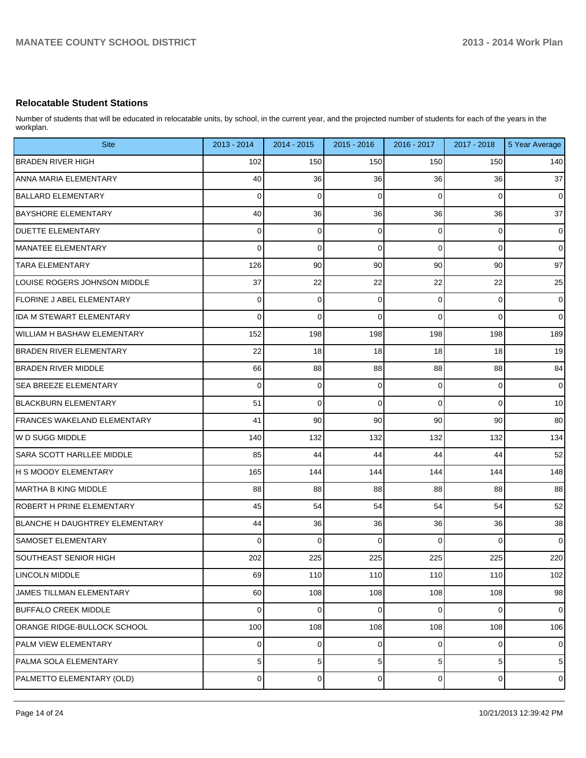# **Relocatable Student Stations**

Number of students that will be educated in relocatable units, by school, in the current year, and the projected number of students for each of the years in the workplan.

| <b>Site</b>                        | 2013 - 2014    | 2014 - 2015    | 2015 - 2016 | 2016 - 2017    | 2017 - 2018    | 5 Year Average |
|------------------------------------|----------------|----------------|-------------|----------------|----------------|----------------|
| <b>BRADEN RIVER HIGH</b>           | 102            | 150            | 150         | 150            | 150            | 140            |
| <b>ANNA MARIA ELEMENTARY</b>       | 40             | 36             | 36          | 36             | 36             | 37             |
| <b>BALLARD ELEMENTARY</b>          | $\mathbf 0$    | $\mathbf 0$    | $\mathbf 0$ | $\Omega$       | $\mathbf 0$    | $\mathbf 0$    |
| <b>BAYSHORE ELEMENTARY</b>         | 40             | 36             | 36          | 36             | 36             | 37             |
| <b>DUETTE ELEMENTARY</b>           | $\overline{0}$ | 0              | 0           | 0              | 0              | $\mathbf 0$    |
| <b>MANATEE ELEMENTARY</b>          | $\Omega$       | 0              | $\mathbf 0$ | $\Omega$       | $\mathbf 0$    | $\mathbf 0$    |
| <b>TARA ELEMENTARY</b>             | 126            | 90             | 90          | 90             | 90             | 97             |
| LOUISE ROGERS JOHNSON MIDDLE       | 37             | 22             | 22          | 22             | 22             | 25             |
| FLORINE J ABEL ELEMENTARY          | $\overline{0}$ | 0              | $\mathbf 0$ | 0              | 0              | $\mathbf 0$    |
| <b>IDA M STEWART ELEMENTARY</b>    | $\Omega$       | $\mathbf 0$    | $\Omega$    | $\Omega$       | $\mathbf 0$    | $\overline{0}$ |
| <b>WILLIAM H BASHAW ELEMENTARY</b> | 152            | 198            | 198         | 198            | 198            | 189            |
| BRADEN RIVER ELEMENTARY            | 22             | 18             | 18          | 18             | 18             | 19             |
| <b>BRADEN RIVER MIDDLE</b>         | 66             | 88             | 88          | 88             | 88             | 84             |
| <b>SEA BREEZE ELEMENTARY</b>       | $\mathbf 0$    | 0              | 0           | 0              | 0              | $\mathbf 0$    |
| <b>BLACKBURN ELEMENTARY</b>        | 51             | $\mathbf 0$    | $\Omega$    | $\Omega$       | $\mathbf 0$    | 10             |
| FRANCES WAKELAND ELEMENTARY        | 41             | 90             | 90          | 90             | 90             | 80             |
| lw D SUGG MIDDLE                   | 140            | 132            | 132         | 132            | 132            | 134            |
| <b>SARA SCOTT HARLLEE MIDDLE</b>   | 85             | 44             | 44          | 44             | 44             | 52             |
| <b>H S MOODY ELEMENTARY</b>        | 165            | 144            | 144         | 144            | 144            | 148            |
| IMARTHA B KING MIDDLE              | 88             | 88             | 88          | 88             | 88             | 88             |
| <b>ROBERT H PRINE ELEMENTARY</b>   | 45             | 54             | 54          | 54             | 54             | 52             |
| BLANCHE H DAUGHTREY ELEMENTARY     | 44             | 36             | 36          | 36             | 36             | 38             |
| <b>SAMOSET ELEMENTARY</b>          | $\Omega$       | $\Omega$       | $\Omega$    | $\Omega$       | 0              | $\mathbf 0$    |
| <b>SOUTHEAST SENIOR HIGH</b>       | 202            | 225            | 225         | 225            | 225            | 220            |
| <b>LINCOLN MIDDLE</b>              | 69             | 110            | 110         | 110            | 110            | 102            |
| JAMES TILLMAN ELEMENTARY           | 60             | 108            | 108         | 108            | 108            | 98             |
| <b>BUFFALO CREEK MIDDLE</b>        | $\Omega$       | $\pmb{0}$      | $\Omega$    | $\Omega$       | $\overline{0}$ | $\pmb{0}$      |
| ORANGE RIDGE-BULLOCK SCHOOL        | 100            | 108            | 108         | 108            | 108            | 106            |
| PALM VIEW ELEMENTARY               | $\overline{0}$ | 0              | $\mathbf 0$ | $\overline{0}$ | $\overline{0}$ | $\pmb{0}$      |
| PALMA SOLA ELEMENTARY              | 5 <sub>5</sub> | 5 <sup>1</sup> | 5           | 5 <sup>1</sup> | $\sqrt{5}$     | $\sqrt{5}$     |
| PALMETTO ELEMENTARY (OLD)          | $\Omega$       | $\overline{0}$ | $\mathbf 0$ | $\overline{0}$ | $\overline{0}$ | $\pmb{0}$      |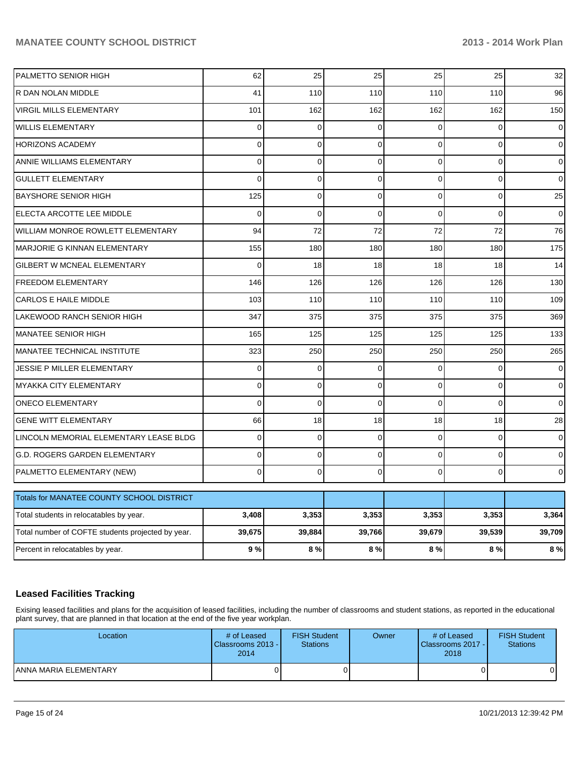| PALMETTO SENIOR HIGH                              | 62             | 25          | 25          | 25             | 25           | 32             |
|---------------------------------------------------|----------------|-------------|-------------|----------------|--------------|----------------|
| R DAN NOLAN MIDDLE                                | 41             | 110         | 110         | 110            | 110          | 96             |
| <b>VIRGIL MILLS ELEMENTARY</b>                    | 101            | 162         | 162         | 162            | 162          | 150            |
| <b>WILLIS ELEMENTARY</b>                          | 0              | $\mathbf 0$ | $\mathbf 0$ | $\Omega$       | $\mathbf 0$  | 0              |
| <b>HORIZONS ACADEMY</b>                           | 0              | $\mathbf 0$ | $\mathbf 0$ | $\Omega$       | $\Omega$     | 0              |
| ANNIE WILLIAMS ELEMENTARY                         | 0              | $\mathbf 0$ | 0           | $\overline{0}$ | $\mathbf 0$  | $\mathbf{O}$   |
| <b>GULLETT ELEMENTARY</b>                         | $\overline{0}$ | $\mathbf 0$ | $\mathbf 0$ | $\overline{0}$ | $\mathbf 0$  | 0              |
| <b>BAYSHORE SENIOR HIGH</b>                       | 125            | $\mathbf 0$ | 0           | 0              | $\mathbf 0$  | 25             |
| ELECTA ARCOTTE LEE MIDDLE                         | $\overline{0}$ | $\Omega$    | $\Omega$    | $\Omega$       | $\Omega$     | 0              |
| WILLIAM MONROE ROWLETT ELEMENTARY                 | 94             | 72          | 72          | 72             | 72           | 76             |
| <b>MARJORIE G KINNAN ELEMENTARY</b>               | 155            | 180         | 180         | 180            | 180          | 175            |
| GILBERT W MCNEAL ELEMENTARY                       | $\Omega$       | 18          | 18          | 18             | 18           | 14             |
| <b>FREEDOM ELEMENTARY</b>                         | 146            | 126         | 126         | 126            | 126          | 130            |
| <b>CARLOS E HAILE MIDDLE</b>                      | 103            | 110         | 110         | 110            | 110          | 109            |
| LAKEWOOD RANCH SENIOR HIGH                        | 347            | 375         | 375         | 375            | 375          | 369            |
| <b>MANATEE SENIOR HIGH</b>                        | 165            | 125         | 125         | 125            | 125          | 133            |
| <b>MANATEE TECHNICAL INSTITUTE</b>                | 323            | 250         | 250         | 250            | 250          | 265            |
| JESSIE P MILLER ELEMENTARY                        | 0              | $\mathbf 0$ | $\mathbf 0$ | $\Omega$       | $\mathbf 0$  | $\mathbf 0$    |
| <b>MYAKKA CITY ELEMENTARY</b>                     | $\Omega$       | $\Omega$    | 0           | $\Omega$       | $\Omega$     | $\overline{0}$ |
| <b>ONECO ELEMENTARY</b>                           | $\Omega$       | $\mathbf 0$ | $\mathbf 0$ | $\Omega$       | $\mathbf 0$  | 0              |
| <b>GENE WITT ELEMENTARY</b>                       | 66             | 18          | 18          | 18             | 18           | 28             |
| LINCOLN MEMORIAL ELEMENTARY LEASE BLDG            | $\mathbf 0$    | $\mathbf 0$ | $\mathbf 0$ | $\overline{0}$ | $\mathbf 0$  | $\mathbf 0$    |
| G.D. ROGERS GARDEN ELEMENTARY                     | $\Omega$       | $\Omega$    | $\mathbf 0$ | $\Omega$       | $\Omega$     | $\mathbf 0$    |
| PALMETTO ELEMENTARY (NEW)                         | $\Omega$       | $\mathbf 0$ | 0           | $\Omega$       | $\mathbf{0}$ | $\overline{0}$ |
| Totals for MANATEE COUNTY SCHOOL DISTRICT         |                |             |             |                |              |                |
| Total students in relocatables by year.           | 3,408          | 3,353       | 3,353       | 3,353          | 3,353        | 3,364          |
| Total number of COFTE students projected by year. | 39,675         | 39,884      | 39,766      | 39,679         | 39,539       | 39,709         |
| Percent in relocatables by year.                  | 9%             | 8%          | 8%          | 8%             | 8%           | 8%             |

# **Leased Facilities Tracking**

Exising leased facilities and plans for the acquisition of leased facilities, including the number of classrooms and student stations, as reported in the educational plant survey, that are planned in that location at the end of the five year workplan.

| Location              | # of Leased<br>Classrooms 2013 - I<br>2014 | <b>FISH Student</b><br><b>Stations</b> | Owner | # of Leased<br><b>IClassrooms 2017 - I</b><br>2018 | <b>FISH Student</b><br><b>Stations</b> |
|-----------------------|--------------------------------------------|----------------------------------------|-------|----------------------------------------------------|----------------------------------------|
| ANNA MARIA ELEMENTARY |                                            |                                        |       |                                                    |                                        |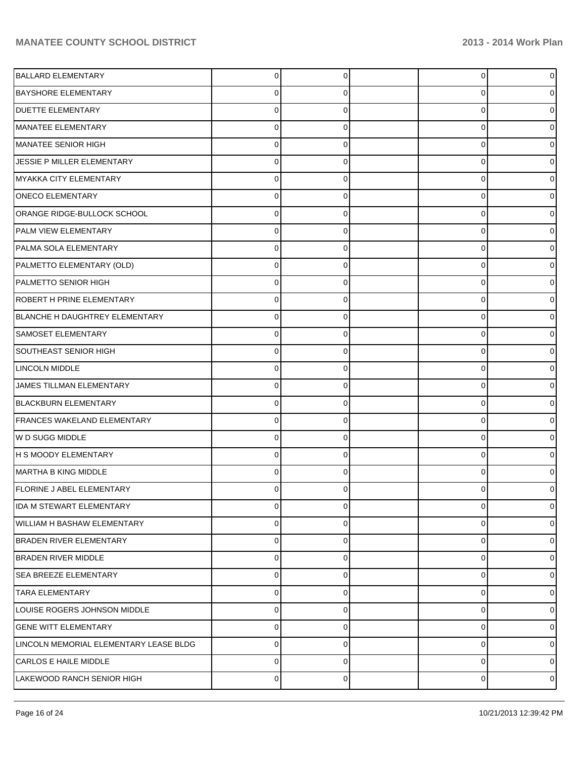| <b>BALLARD ELEMENTARY</b>              | 0              | $\Omega$ | 0 | o              |
|----------------------------------------|----------------|----------|---|----------------|
| <b>BAYSHORE ELEMENTARY</b>             | 0              | 0        | 0 |                |
| <b>DUETTE ELEMENTARY</b>               | 0              | 0        | 0 |                |
| MANATEE ELEMENTARY                     | 0              | 0        | 0 |                |
| MANATEE SENIOR HIGH                    | 0              | 0        | 0 |                |
| JESSIE P MILLER ELEMENTARY             | 0              | 0        | 0 |                |
| MYAKKA CITY ELEMENTARY                 | 0              | 0        | 0 |                |
| <b>ONECO ELEMENTARY</b>                | 0              | 0        | 0 |                |
| ORANGE RIDGE-BULLOCK SCHOOL            | 0              | 0        | 0 |                |
| PALM VIEW ELEMENTARY                   | 0              | 0        | 0 |                |
| PALMA SOLA ELEMENTARY                  | 0              | 0        | 0 |                |
| PALMETTO ELEMENTARY (OLD)              | 0              | 0        | 0 |                |
| PALMETTO SENIOR HIGH                   | 0              | 0        | 0 |                |
| <b>ROBERT H PRINE ELEMENTARY</b>       | 0              | 0        | 0 |                |
| BLANCHE H DAUGHTREY ELEMENTARY         | 0              | 0        | 0 |                |
| SAMOSET ELEMENTARY                     | 0              | 0        | 0 |                |
| SOUTHEAST SENIOR HIGH                  | 0              | 0        | 0 |                |
| <b>LINCOLN MIDDLE</b>                  | 0              | 0        | 0 |                |
| JAMES TILLMAN ELEMENTARY               | 0              | 0        | 0 |                |
| <b>BLACKBURN ELEMENTARY</b>            | 0              | 0        | 0 |                |
| FRANCES WAKELAND ELEMENTARY            | 0              | 0        | 0 |                |
| W D SUGG MIDDLE                        | 0              | 0        | 0 |                |
| H S MOODY ELEMENTARY                   | 0              | 0        | 0 |                |
| MARTHA B KING MIDDLE                   | 0              | 0        | 0 |                |
| <b>FLORINE J ABEL ELEMENTARY</b>       | 0              | 0        | 0 |                |
| IDA M STEWART ELEMENTARY               | $\mathbf 0$    | 0        | 0 | 0              |
| WILLIAM H BASHAW ELEMENTARY            | 0              | 0        | 0 | 0              |
| <b>BRADEN RIVER ELEMENTARY</b>         | 0              | 0        | 0 | 0              |
| <b>BRADEN RIVER MIDDLE</b>             | 0              | 0        | 0 | 0              |
| <b>SEA BREEZE ELEMENTARY</b>           | 0              | 0        | 0 | 0              |
| <b>TARA ELEMENTARY</b>                 | 0              | 0        | 0 | 0              |
| LOUISE ROGERS JOHNSON MIDDLE           | 0              | 0        | 0 | 0              |
| <b>GENE WITT ELEMENTARY</b>            | 0              | 0        | 0 | 0              |
| LINCOLN MEMORIAL ELEMENTARY LEASE BLDG | $\pmb{0}$      | 0        | 0 | 0              |
| <b>CARLOS E HAILE MIDDLE</b>           | $\pmb{0}$      | 0        | 0 | 0              |
| LAKEWOOD RANCH SENIOR HIGH             | $\overline{0}$ | 0        | 0 | $\overline{0}$ |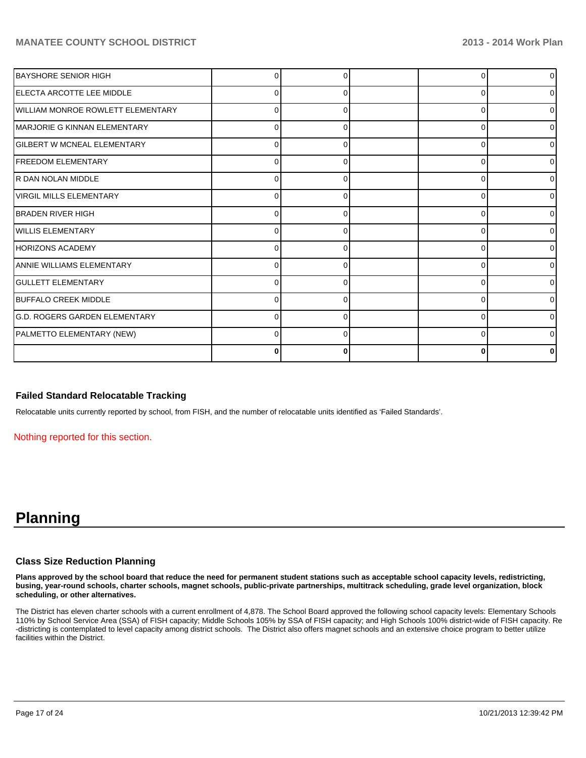| <b>BAYSHORE SENIOR HIGH</b>              |              |   |   | $\overline{0}$ |
|------------------------------------------|--------------|---|---|----------------|
| IELECTA ARCOTTE LEE MIDDLE               | 0            | 0 | C | 01             |
| <b>WILLIAM MONROE ROWLETT ELEMENTARY</b> | 0            | U | C | $\overline{0}$ |
| MARJORIE G KINNAN ELEMENTARY             | U            |   |   | $\overline{0}$ |
| <b>GILBERT W MCNEAL ELEMENTARY</b>       | n            |   |   | $\overline{0}$ |
| <b>IFREEDOM ELEMENTARY</b>               | 0            | 0 |   | $\overline{0}$ |
| IR DAN NOLAN MIDDLE                      | 0            | 0 | C | 01             |
| VIRGIL MILLS ELEMENTARY                  | <sup>0</sup> | O | C | $\overline{0}$ |
| IBRADEN RIVER HIGH                       | U            |   |   | $\Omega$       |
| <b>WILLIS ELEMENTARY</b>                 | <sup>0</sup> |   | C | $\Omega$       |
| HORIZONS ACADEMY                         | n            | 0 |   | $\overline{0}$ |
| IANNIE WILLIAMS ELEMENTARY               | 0            | O | C | 0              |
| <b>GULLETT ELEMENTARY</b>                | <sup>0</sup> | O |   | $\Omega$       |
| <b>IBUFFALO CREEK MIDDLE</b>             |              |   |   | $\overline{0}$ |
| lG.D. ROGERS GARDEN ELEMENTARY           |              |   |   | 0              |
| PALMETTO ELEMENTARY (NEW)                | 0            | 0 |   | οI             |
|                                          | 0            | ŋ |   | n              |

#### **Failed Standard Relocatable Tracking**

Relocatable units currently reported by school, from FISH, and the number of relocatable units identified as 'Failed Standards'.

Nothing reported for this section.

# **Planning**

#### **Class Size Reduction Planning**

**Plans approved by the school board that reduce the need for permanent student stations such as acceptable school capacity levels, redistricting, busing, year-round schools, charter schools, magnet schools, public-private partnerships, multitrack scheduling, grade level organization, block scheduling, or other alternatives.**

The District has eleven charter schools with a current enrollment of 4,878. The School Board approved the following school capacity levels: Elementary Schools 110% by School Service Area (SSA) of FISH capacity; Middle Schools 105% by SSA of FISH capacity; and High Schools 100% district-wide of FISH capacity. Re -districting is contemplated to level capacity among district schools. The District also offers magnet schools and an extensive choice program to better utilize facilities within the District.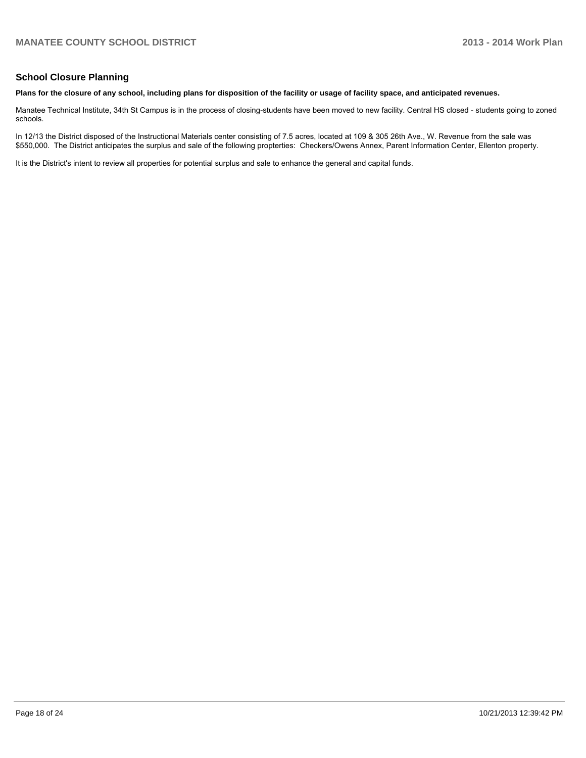## **School Closure Planning**

#### **Plans for the closure of any school, including plans for disposition of the facility or usage of facility space, and anticipated revenues.**

Manatee Technical Institute, 34th St Campus is in the process of closing-students have been moved to new facility. Central HS closed - students going to zoned schools.

In 12/13 the District disposed of the Instructional Materials center consisting of 7.5 acres, located at 109 & 305 26th Ave., W. Revenue from the sale was \$550,000. The District anticipates the surplus and sale of the following propterties: Checkers/Owens Annex, Parent Information Center, Ellenton property.

It is the District's intent to review all properties for potential surplus and sale to enhance the general and capital funds.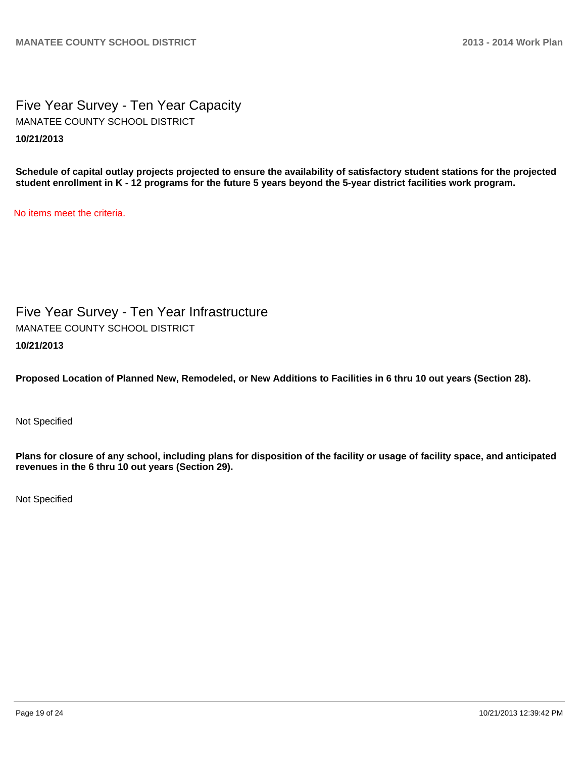Five Year Survey - Ten Year Capacity **10/21/2013** MANATEE COUNTY SCHOOL DISTRICT

**Schedule of capital outlay projects projected to ensure the availability of satisfactory student stations for the projected student enrollment in K - 12 programs for the future 5 years beyond the 5-year district facilities work program.**

No items meet the criteria.

Five Year Survey - Ten Year Infrastructure **10/21/2013** MANATEE COUNTY SCHOOL DISTRICT

**Proposed Location of Planned New, Remodeled, or New Additions to Facilities in 6 thru 10 out years (Section 28).**

Not Specified

**Plans for closure of any school, including plans for disposition of the facility or usage of facility space, and anticipated revenues in the 6 thru 10 out years (Section 29).**

Not Specified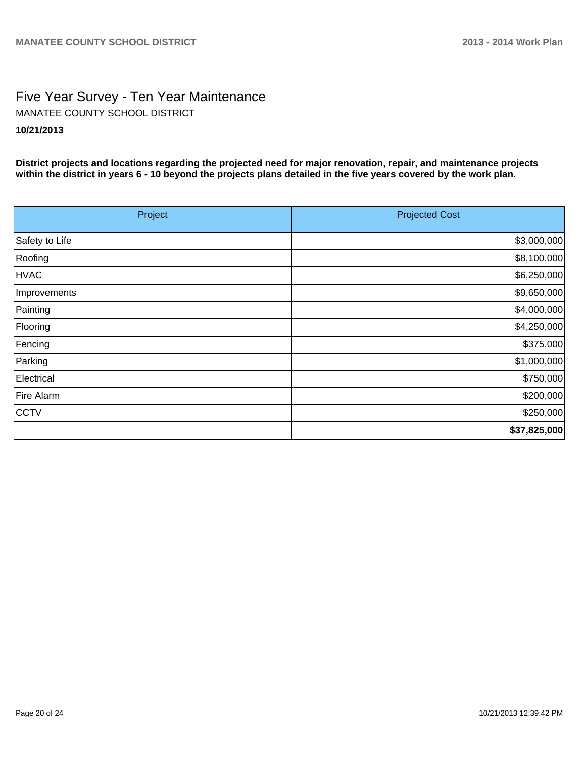# Five Year Survey - Ten Year Maintenance **10/21/2013** MANATEE COUNTY SCHOOL DISTRICT

**District projects and locations regarding the projected need for major renovation, repair, and maintenance projects within the district in years 6 - 10 beyond the projects plans detailed in the five years covered by the work plan.**

| Project        | <b>Projected Cost</b> |
|----------------|-----------------------|
| Safety to Life | \$3,000,000           |
| Roofing        | \$8,100,000           |
| <b>HVAC</b>    | \$6,250,000           |
| Improvements   | \$9,650,000           |
| Painting       | \$4,000,000           |
| Flooring       | \$4,250,000           |
| Fencing        | \$375,000             |
| Parking        | \$1,000,000           |
| Electrical     | \$750,000             |
| Fire Alarm     | \$200,000             |
| <b>CCTV</b>    | \$250,000             |
|                | \$37,825,000          |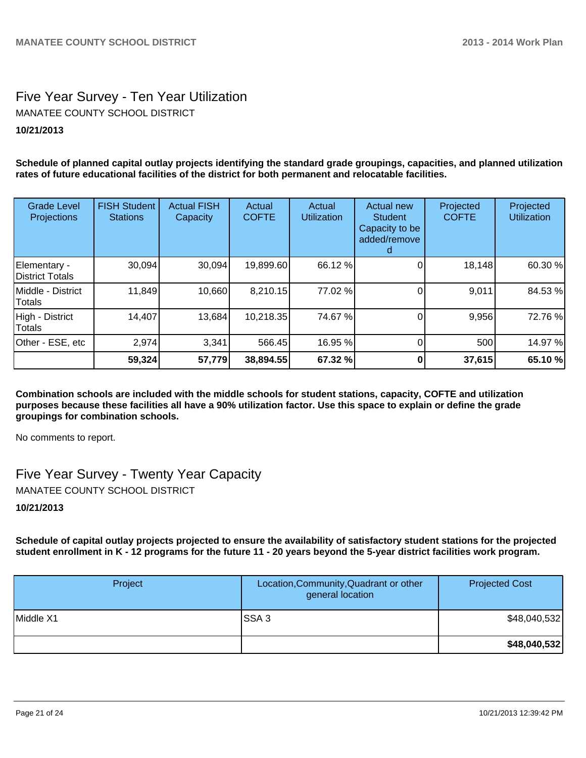# Five Year Survey - Ten Year Utilization **10/21/2013** MANATEE COUNTY SCHOOL DISTRICT

**Schedule of planned capital outlay projects identifying the standard grade groupings, capacities, and planned utilization rates of future educational facilities of the district for both permanent and relocatable facilities.**

| <b>Grade Level</b><br><b>Projections</b> | <b>FISH Student</b><br><b>Stations</b> | <b>Actual FISH</b><br>Capacity | Actual<br><b>COFTE</b> | Actual<br><b>Utilization</b> | Actual new<br><b>Student</b><br>Capacity to be<br>added/remove | Projected<br><b>COFTE</b> | Projected<br><b>Utilization</b> |
|------------------------------------------|----------------------------------------|--------------------------------|------------------------|------------------------------|----------------------------------------------------------------|---------------------------|---------------------------------|
| Elementary -<br>District Totals          | 30,094                                 | 30,094                         | 19,899.60              | 66.12 %                      |                                                                | 18,148                    | 60.30 %                         |
| Middle - District<br>Totals              | 11,849                                 | 10,660                         | 8,210.15               | 77.02 %                      |                                                                | 9,011                     | 84.53 %                         |
| High - District<br>Totals                | 14,407                                 | 13,684                         | 10,218.35              | 74.67 %                      |                                                                | 9,956                     | 72.76 %                         |
| Other - ESE, etc                         | 2,974                                  | 3,341                          | 566.45                 | 16.95 %                      |                                                                | 500                       | 14.97 %                         |
|                                          | 59,324                                 | 57,779                         | 38,894.55              | 67.32 %                      |                                                                | 37,615                    | 65.10 %                         |

**Combination schools are included with the middle schools for student stations, capacity, COFTE and utilization purposes because these facilities all have a 90% utilization factor. Use this space to explain or define the grade groupings for combination schools.**

No comments to report.

Five Year Survey - Twenty Year Capacity MANATEE COUNTY SCHOOL DISTRICT

## **10/21/2013**

**Schedule of capital outlay projects projected to ensure the availability of satisfactory student stations for the projected student enrollment in K - 12 programs for the future 11 - 20 years beyond the 5-year district facilities work program.**

| Project   | Location, Community, Quadrant or other<br>general location | <b>Projected Cost</b> |
|-----------|------------------------------------------------------------|-----------------------|
| Middle X1 | ISSA 3                                                     | \$48,040,532]         |
|           |                                                            | \$48,040,532          |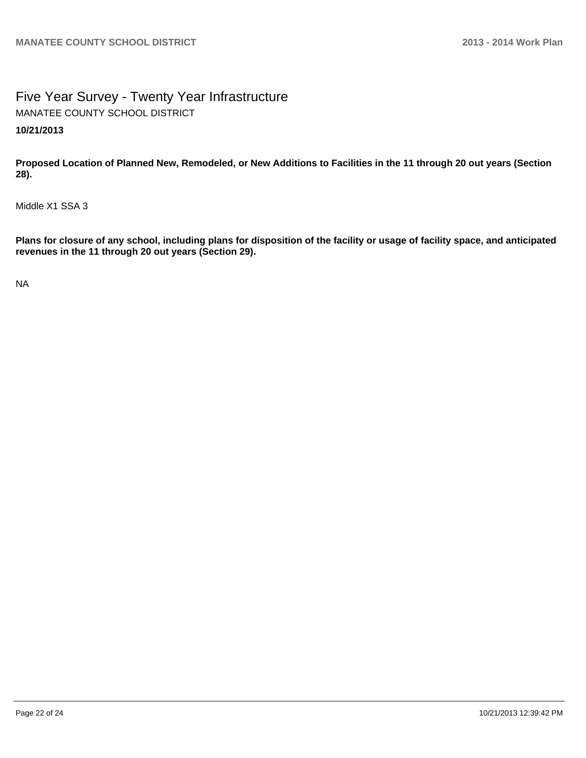Five Year Survey - Twenty Year Infrastructure **10/21/2013** MANATEE COUNTY SCHOOL DISTRICT

**Proposed Location of Planned New, Remodeled, or New Additions to Facilities in the 11 through 20 out years (Section 28).**

Middle X1 SSA 3

**Plans for closure of any school, including plans for disposition of the facility or usage of facility space, and anticipated revenues in the 11 through 20 out years (Section 29).**

NA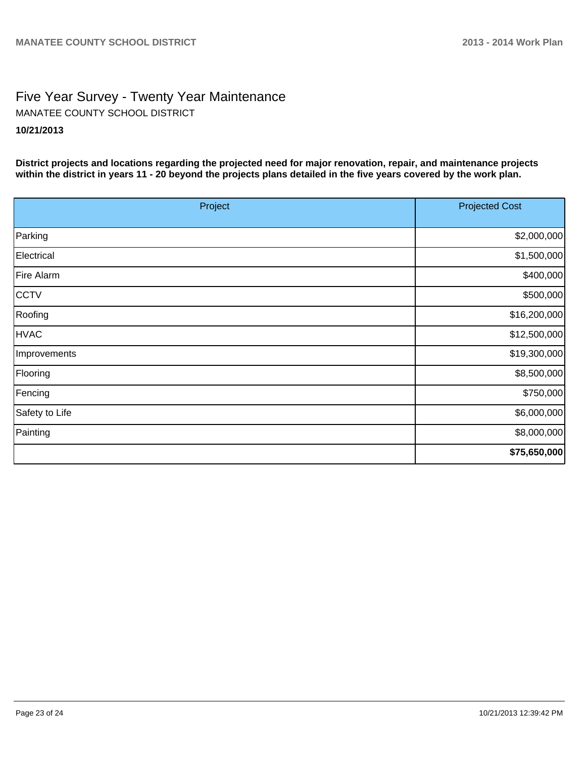# Five Year Survey - Twenty Year Maintenance **10/21/2013** MANATEE COUNTY SCHOOL DISTRICT

**District projects and locations regarding the projected need for major renovation, repair, and maintenance projects within the district in years 11 - 20 beyond the projects plans detailed in the five years covered by the work plan.**

| Project        | <b>Projected Cost</b> |  |
|----------------|-----------------------|--|
| Parking        | \$2,000,000           |  |
| Electrical     | \$1,500,000           |  |
| Fire Alarm     | \$400,000             |  |
| CCTV           | \$500,000             |  |
| Roofing        | \$16,200,000          |  |
| <b>HVAC</b>    | \$12,500,000          |  |
| Improvements   | \$19,300,000          |  |
| Flooring       | \$8,500,000           |  |
| Fencing        | \$750,000             |  |
| Safety to Life | \$6,000,000           |  |
| Painting       | \$8,000,000           |  |
|                | \$75,650,000          |  |